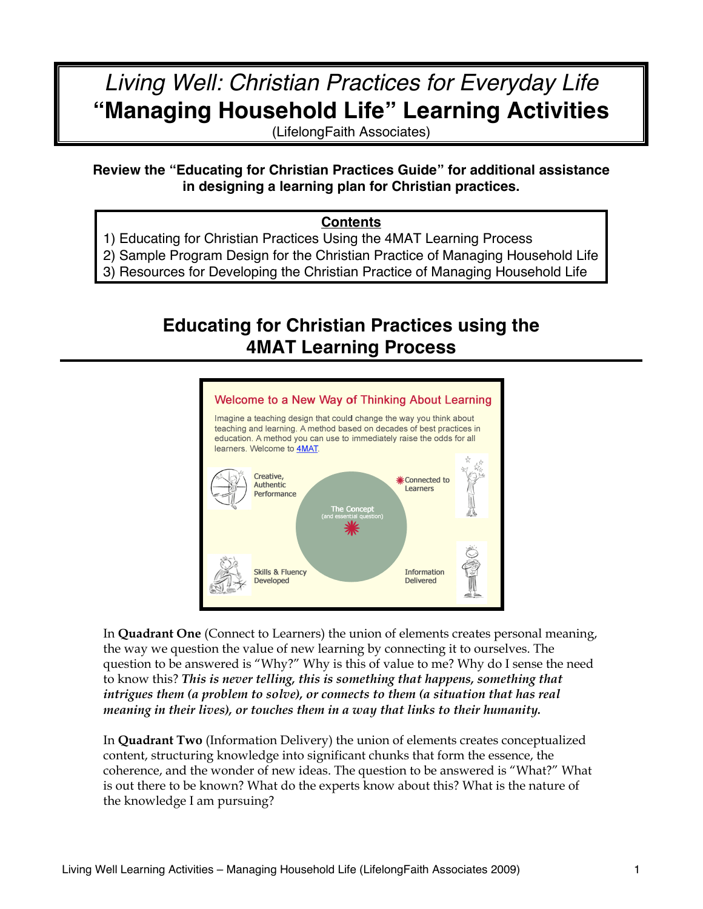## *Living Well: Christian Practices for Everyday Life* **"Managing Household Life" Learning Activities**

(LifelongFaith Associates)

## **Review the "Educating for Christian Practices Guide" for additional assistance in designing a learning plan for Christian practices.**

#### **Contents**

- 1) Educating for Christian Practices Using the 4MAT Learning Process
- 2) Sample Program Design for the Christian Practice of Managing Household Life
- 3) Resources for Developing the Christian Practice of Managing Household Life

## **Educating for Christian Practices using the 4MAT Learning Process**



In **Quadrant One** (Connect to Learners) the union of elements creates personal meaning, the way we question the value of new learning by connecting it to ourselves. The question to be answered is "Why?" Why is this of value to me? Why do I sense the need to know this? *This is never telling, this is something that happens, something that intrigues them (a problem to solve), or connects to them (a situation that has real meaning in their lives), or touches them in a way that links to their humanity.*

In **Quadrant Two** (Information Delivery) the union of elements creates conceptualized content, structuring knowledge into significant chunks that form the essence, the coherence, and the wonder of new ideas. The question to be answered is "What?" What is out there to be known? What do the experts know about this? What is the nature of the knowledge I am pursuing?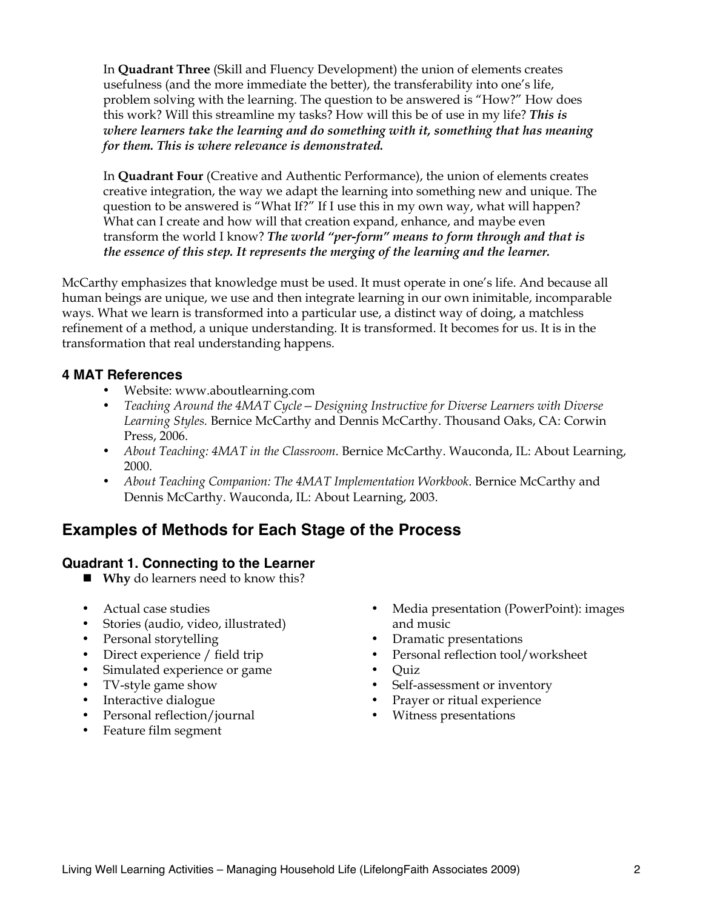In **Quadrant Three** (Skill and Fluency Development) the union of elements creates usefulness (and the more immediate the better), the transferability into one's life, problem solving with the learning. The question to be answered is "How?" How does this work? Will this streamline my tasks? How will this be of use in my life? *This is where learners take the learning and do something with it, something that has meaning for them. This is where relevance is demonstrated.* 

In **Quadrant Four** (Creative and Authentic Performance), the union of elements creates creative integration, the way we adapt the learning into something new and unique. The question to be answered is "What If?" If I use this in my own way, what will happen? What can I create and how will that creation expand, enhance, and maybe even transform the world I know? *The world "per-form" means to form through and that is the essence of this step. It represents the merging of the learning and the learner.*

McCarthy emphasizes that knowledge must be used. It must operate in one's life. And because all human beings are unique, we use and then integrate learning in our own inimitable, incomparable ways. What we learn is transformed into a particular use, a distinct way of doing, a matchless refinement of a method, a unique understanding. It is transformed. It becomes for us. It is in the transformation that real understanding happens.

#### **4 MAT References**

- Website: www.aboutlearning.com
- *Teaching Around the 4MAT Cycle—Designing Instructive for Diverse Learners with Diverse Learning Styles.* Bernice McCarthy and Dennis McCarthy. Thousand Oaks, CA: Corwin Press, 2006.
- *About Teaching: 4MAT in the Classroom*. Bernice McCarthy. Wauconda, IL: About Learning, 2000.
- *About Teaching Companion: The 4MAT Implementation Workbook*. Bernice McCarthy and Dennis McCarthy. Wauconda, IL: About Learning, 2003.

## **Examples of Methods for Each Stage of the Process**

#### **Quadrant 1. Connecting to the Learner**

- **Why** do learners need to know this?
- Actual case studies
- Stories (audio, video, illustrated)
- Personal storytelling
- Direct experience / field trip
- Simulated experience or game
- TV-style game show
- Interactive dialogue
- Personal reflection/journal
- Feature film segment
- Media presentation (PowerPoint): images and music
- Dramatic presentations
- Personal reflection tool/worksheet
- Quiz
- Self-assessment or inventory<br>• Praver or ritual experience
- Prayer or ritual experience
- Witness presentations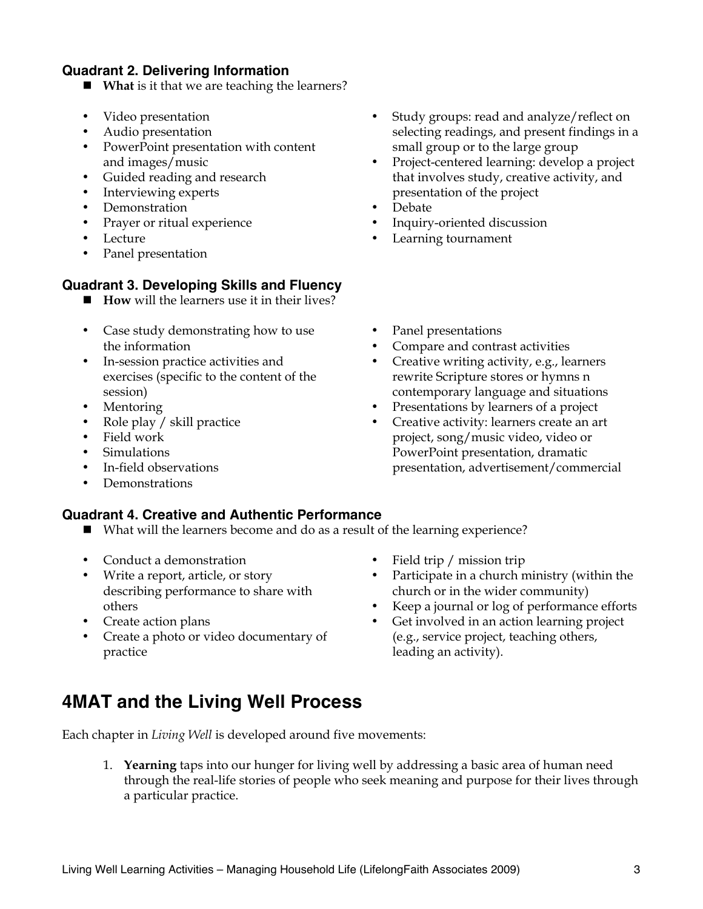#### **Quadrant 2. Delivering Information**

- **What** is it that we are teaching the learners?
- Video presentation
- Audio presentation
- PowerPoint presentation with content and images/music
- Guided reading and research
- Interviewing experts
- Demonstration
- Prayer or ritual experience
- **Lecture**
- Panel presentation

#### **Quadrant 3. Developing Skills and Fluency**

- **How** will the learners use it in their lives?
- Case study demonstrating how to use the information
- In-session practice activities and exercises (specific to the content of the session)
- **Mentoring**
- Role play / skill practice
- Field work
- Simulations
- In-field observations
- Demonstrations

#### **Quadrant 4. Creative and Authentic Performance**

- What will the learners become and do as a result of the learning experience?
- Conduct a demonstration
- Write a report, article, or story describing performance to share with others
- Create action plans
- Create a photo or video documentary of practice
- Field trip / mission trip
- Participate in a church ministry (within the church or in the wider community)
- Keep a journal or log of performance efforts
- Get involved in an action learning project (e.g., service project, teaching others, leading an activity).

## **4MAT and the Living Well Process**

Each chapter in *Living Well* is developed around five movements:

1. **Yearning** taps into our hunger for living well by addressing a basic area of human need through the real-life stories of people who seek meaning and purpose for their lives through a particular practice.

- Study groups: read and analyze/reflect on selecting readings, and present findings in a small group or to the large group
- Project-centered learning: develop a project that involves study, creative activity, and presentation of the project
- Debate
- Inquiry-oriented discussion
- Learning tournament
- Panel presentations
- Compare and contrast activities
- Creative writing activity, e.g., learners rewrite Scripture stores or hymns n contemporary language and situations
- Presentations by learners of a project
- Creative activity: learners create an art project, song/music video, video or PowerPoint presentation, dramatic presentation, advertisement/commercial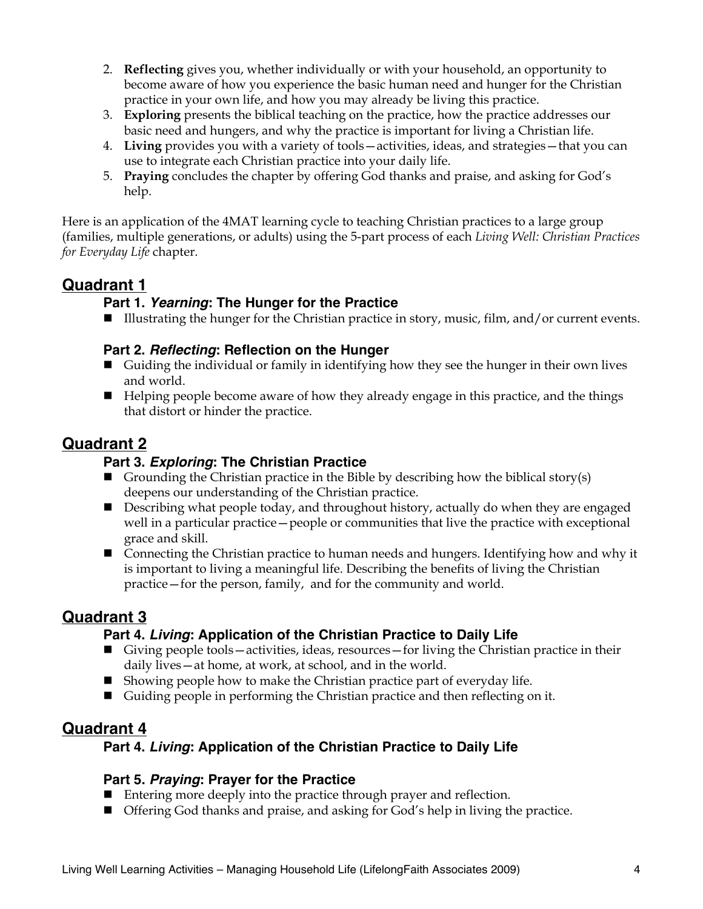- 2. **Reflecting** gives you, whether individually or with your household, an opportunity to become aware of how you experience the basic human need and hunger for the Christian practice in your own life, and how you may already be living this practice.
- 3. **Exploring** presents the biblical teaching on the practice, how the practice addresses our basic need and hungers, and why the practice is important for living a Christian life.
- 4. **Living** provides you with a variety of tools—activities, ideas, and strategies—that you can use to integrate each Christian practice into your daily life.
- 5. **Praying** concludes the chapter by offering God thanks and praise, and asking for God's help.

Here is an application of the 4MAT learning cycle to teaching Christian practices to a large group (families, multiple generations, or adults) using the 5-part process of each *Living Well: Christian Practices for Everyday Life* chapter.

## **Quadrant 1**

## **Part 1.** *Yearning***: The Hunger for the Practice**

■ Illustrating the hunger for the Christian practice in story, music, film, and/or current events.

## **Part 2.** *Reflecting***: Reflection on the Hunger**

- Guiding the individual or family in identifying how they see the hunger in their own lives and world.
- Helping people become aware of how they already engage in this practice, and the things that distort or hinder the practice.

## **Quadrant 2**

## **Part 3.** *Exploring***: The Christian Practice**

- Grounding the Christian practice in the Bible by describing how the biblical story(s) deepens our understanding of the Christian practice.
- **Describing what people today, and throughout history, actually do when they are engaged** well in a particular practice—people or communities that live the practice with exceptional grace and skill.
- Connecting the Christian practice to human needs and hungers. Identifying how and why it is important to living a meaningful life. Describing the benefits of living the Christian practice—for the person, family, and for the community and world.

## **Quadrant 3**

## **Part 4.** *Living***: Application of the Christian Practice to Daily Life**

- Giving people tools—activities, ideas, resources—for living the Christian practice in their daily lives—at home, at work, at school, and in the world.
- $\blacksquare$  Showing people how to make the Christian practice part of everyday life.
- Guiding people in performing the Christian practice and then reflecting on it.

## **Quadrant 4**

## **Part 4.** *Living***: Application of the Christian Practice to Daily Life**

## **Part 5.** *Praying***: Prayer for the Practice**

- Entering more deeply into the practice through prayer and reflection.
- Offering God thanks and praise, and asking for God's help in living the practice.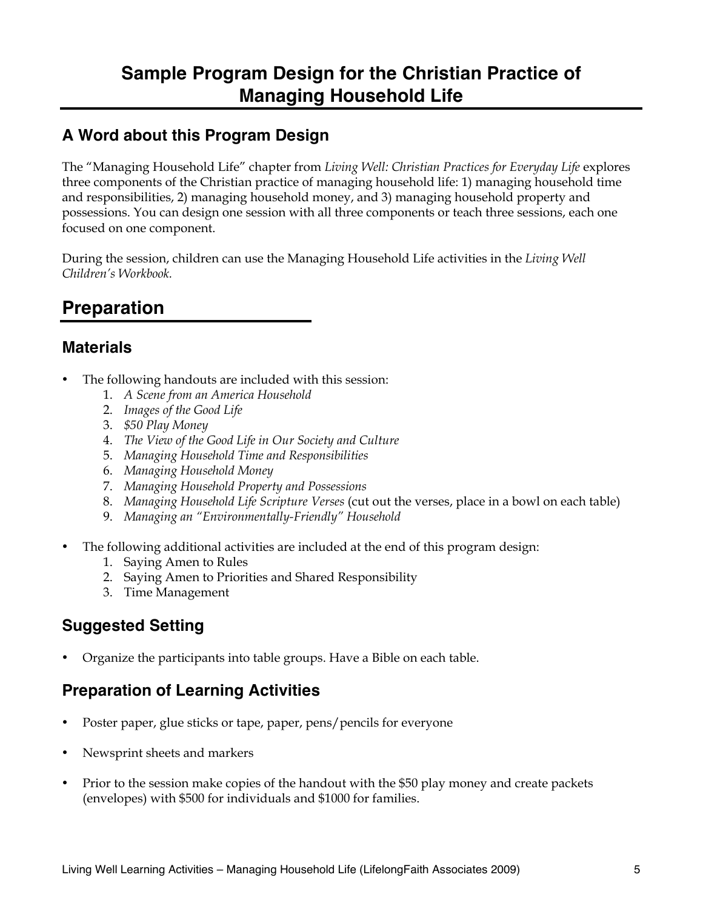## **Sample Program Design for the Christian Practice of Managing Household Life**

## **A Word about this Program Design**

The "Managing Household Life" chapter from *Living Well: Christian Practices for Everyday Life* explores three components of the Christian practice of managing household life: 1) managing household time and responsibilities, 2) managing household money, and 3) managing household property and possessions. You can design one session with all three components or teach three sessions, each one focused on one component.

During the session, children can use the Managing Household Life activities in the *Living Well Children's Workbook.* 

## **Preparation**

## **Materials**

- The following handouts are included with this session:
	- 1. *A Scene from an America Household*
	- 2. *Images of the Good Life*
	- 3. *\$50 Play Money*
	- 4. *The View of the Good Life in Our Society and Culture*
	- 5. *Managing Household Time and Responsibilities*
	- 6. *Managing Household Money*
	- 7. *Managing Household Property and Possessions*
	- 8. *Managing Household Life Scripture Verses* (cut out the verses, place in a bowl on each table)
	- 9. *Managing an "Environmentally-Friendly" Household*
- The following additional activities are included at the end of this program design:
	- 1. Saying Amen to Rules
	- 2. Saying Amen to Priorities and Shared Responsibility
	- 3. Time Management

## **Suggested Setting**

• Organize the participants into table groups. Have a Bible on each table.

## **Preparation of Learning Activities**

- Poster paper, glue sticks or tape, paper, pens/pencils for everyone
- Newsprint sheets and markers
- Prior to the session make copies of the handout with the \$50 play money and create packets (envelopes) with \$500 for individuals and \$1000 for families.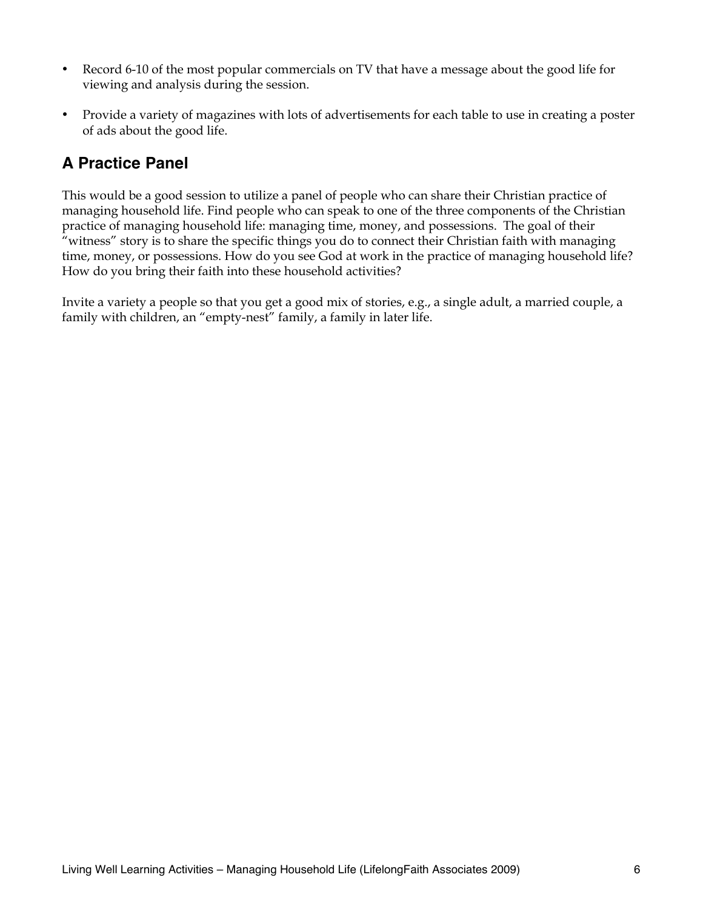- Record 6-10 of the most popular commercials on TV that have a message about the good life for viewing and analysis during the session.
- Provide a variety of magazines with lots of advertisements for each table to use in creating a poster of ads about the good life.

## **A Practice Panel**

This would be a good session to utilize a panel of people who can share their Christian practice of managing household life. Find people who can speak to one of the three components of the Christian practice of managing household life: managing time, money, and possessions. The goal of their "witness" story is to share the specific things you do to connect their Christian faith with managing time, money, or possessions. How do you see God at work in the practice of managing household life? How do you bring their faith into these household activities?

Invite a variety a people so that you get a good mix of stories, e.g., a single adult, a married couple, a family with children, an "empty-nest" family, a family in later life.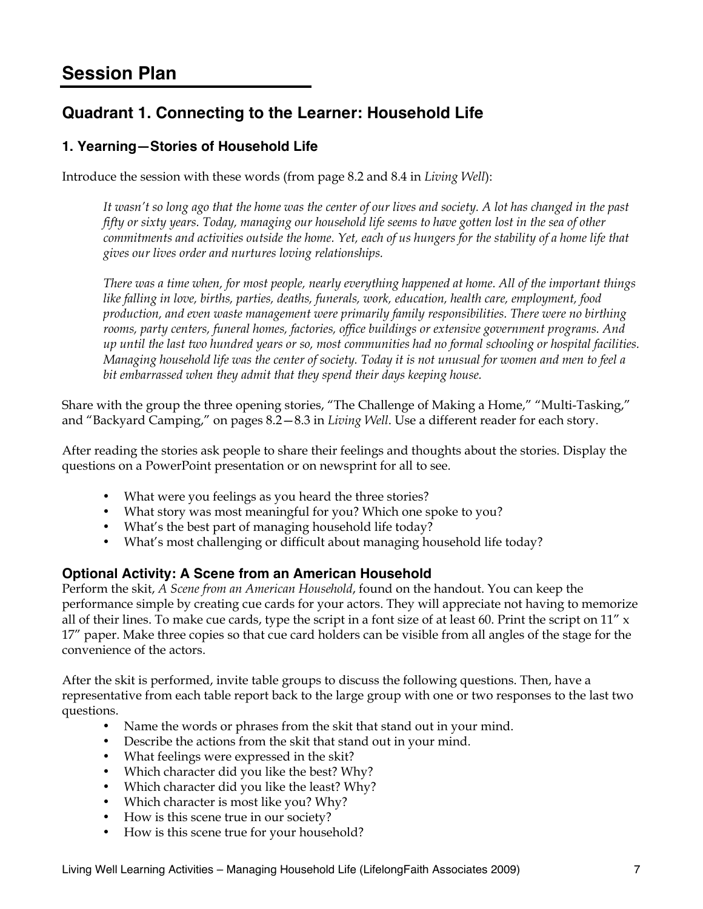## **Session Plan**

## **Quadrant 1. Connecting to the Learner: Household Life**

## **1. Yearning—Stories of Household Life**

Introduce the session with these words (from page 8.2 and 8.4 in *Living Well*):

*It wasn't so long ago that the home was the center of our lives and society. A lot has changed in the past fifty or sixty years. Today, managing our household life seems to have gotten lost in the sea of other commitments and activities outside the home. Yet, each of us hungers for the stability of a home life that gives our lives order and nurtures loving relationships.*

*There was a time when, for most people, nearly everything happened at home. All of the important things like falling in love, births, parties, deaths, funerals, work, education, health care, employment, food production, and even waste management were primarily family responsibilities. There were no birthing rooms, party centers, funeral homes, factories, office buildings or extensive government programs. And up until the last two hundred years or so, most communities had no formal schooling or hospital facilities. Managing household life was the center of society. Today it is not unusual for women and men to feel a bit embarrassed when they admit that they spend their days keeping house.*

Share with the group the three opening stories, "The Challenge of Making a Home," "Multi-Tasking," and "Backyard Camping," on pages 8.2—8.3 in *Living Well*. Use a different reader for each story.

After reading the stories ask people to share their feelings and thoughts about the stories. Display the questions on a PowerPoint presentation or on newsprint for all to see.

- What were you feelings as you heard the three stories?
- What story was most meaningful for you? Which one spoke to you?
- What's the best part of managing household life today?
- What's most challenging or difficult about managing household life today?

#### **Optional Activity: A Scene from an American Household**

Perform the skit, *A Scene from an American Household*, found on the handout. You can keep the performance simple by creating cue cards for your actors. They will appreciate not having to memorize all of their lines. To make cue cards, type the script in a font size of at least 60. Print the script on  $11''$  x 17" paper. Make three copies so that cue card holders can be visible from all angles of the stage for the convenience of the actors.

After the skit is performed, invite table groups to discuss the following questions. Then, have a representative from each table report back to the large group with one or two responses to the last two questions.

- Name the words or phrases from the skit that stand out in your mind.
- Describe the actions from the skit that stand out in your mind.
- What feelings were expressed in the skit?
- Which character did you like the best? Why?
- Which character did you like the least? Why?
- Which character is most like you? Why?
- How is this scene true in our society?
- How is this scene true for your household?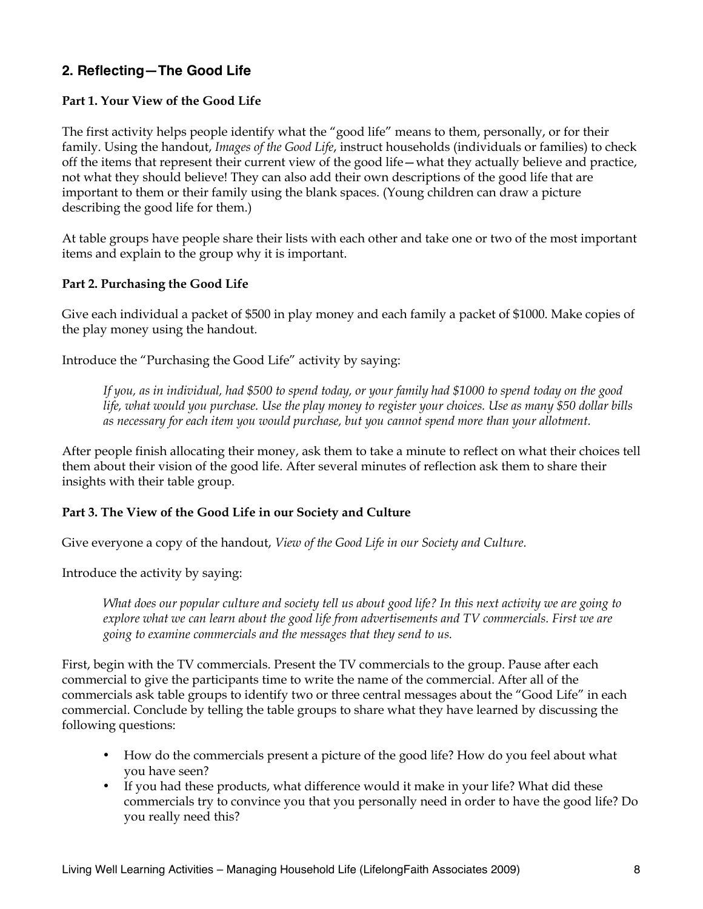## **2. Reflecting—The Good Life**

#### **Part 1. Your View of the Good Life**

The first activity helps people identify what the "good life" means to them, personally, or for their family. Using the handout, *Images of the Good Life*, instruct households (individuals or families) to check off the items that represent their current view of the good life—what they actually believe and practice, not what they should believe! They can also add their own descriptions of the good life that are important to them or their family using the blank spaces. (Young children can draw a picture describing the good life for them.)

At table groups have people share their lists with each other and take one or two of the most important items and explain to the group why it is important.

#### **Part 2. Purchasing the Good Life**

Give each individual a packet of \$500 in play money and each family a packet of \$1000. Make copies of the play money using the handout.

Introduce the "Purchasing the Good Life" activity by saying:

*If you, as in individual, had \$500 to spend today, or your family had \$1000 to spend today on the good life, what would you purchase. Use the play money to register your choices. Use as many \$50 dollar bills as necessary for each item you would purchase, but you cannot spend more than your allotment.* 

After people finish allocating their money, ask them to take a minute to reflect on what their choices tell them about their vision of the good life. After several minutes of reflection ask them to share their insights with their table group.

#### **Part 3. The View of the Good Life in our Society and Culture**

Give everyone a copy of the handout, *View of the Good Life in our Society and Culture.*

Introduce the activity by saying:

*What does our popular culture and society tell us about good life? In this next activity we are going to explore what we can learn about the good life from advertisements and TV commercials. First we are going to examine commercials and the messages that they send to us.* 

First, begin with the TV commercials. Present the TV commercials to the group. Pause after each commercial to give the participants time to write the name of the commercial. After all of the commercials ask table groups to identify two or three central messages about the "Good Life" in each commercial. Conclude by telling the table groups to share what they have learned by discussing the following questions:

- How do the commercials present a picture of the good life? How do you feel about what you have seen?
- If you had these products, what difference would it make in your life? What did these commercials try to convince you that you personally need in order to have the good life? Do you really need this?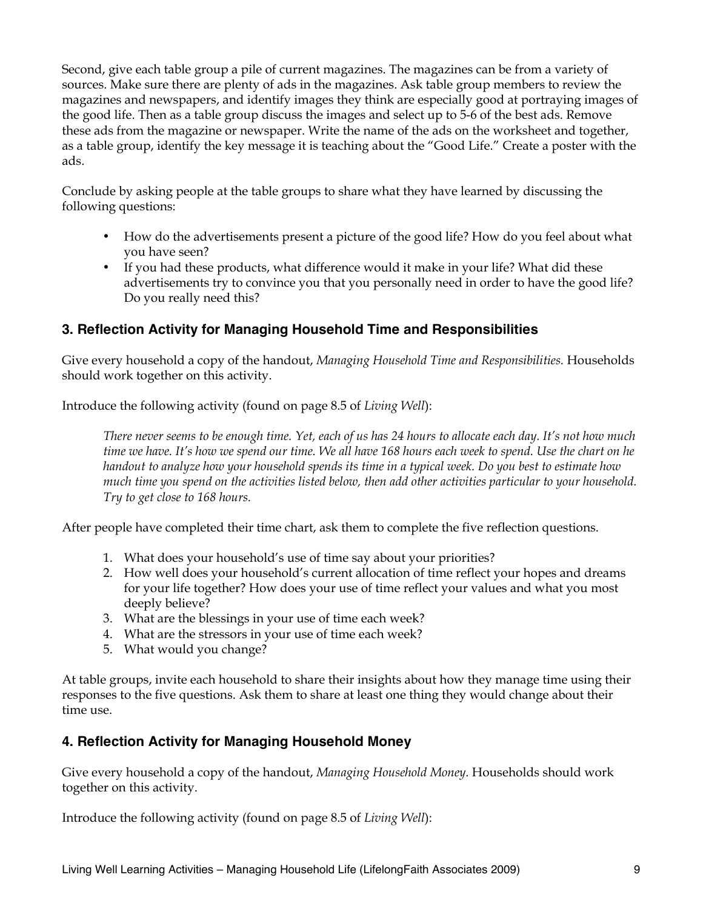Second, give each table group a pile of current magazines. The magazines can be from a variety of sources. Make sure there are plenty of ads in the magazines. Ask table group members to review the magazines and newspapers, and identify images they think are especially good at portraying images of the good life. Then as a table group discuss the images and select up to 5-6 of the best ads. Remove these ads from the magazine or newspaper. Write the name of the ads on the worksheet and together, as a table group, identify the key message it is teaching about the "Good Life." Create a poster with the ads.

Conclude by asking people at the table groups to share what they have learned by discussing the following questions:

- How do the advertisements present a picture of the good life? How do you feel about what you have seen?
- If you had these products, what difference would it make in your life? What did these advertisements try to convince you that you personally need in order to have the good life? Do you really need this?

## **3. Reflection Activity for Managing Household Time and Responsibilities**

Give every household a copy of the handout, *Managing Household Time and Responsibilities.* Households should work together on this activity.

Introduce the following activity (found on page 8.5 of *Living Well*):

*There never seems to be enough time. Yet, each of us has 24 hours to allocate each day. It's not how much time we have. It's how we spend our time. We all have 168 hours each week to spend. Use the chart on he handout to analyze how your household spends its time in a typical week. Do you best to estimate how much time you spend on the activities listed below, then add other activities particular to your household. Try to get close to 168 hours.* 

After people have completed their time chart, ask them to complete the five reflection questions.

- 1. What does your household's use of time say about your priorities?
- 2. How well does your household's current allocation of time reflect your hopes and dreams for your life together? How does your use of time reflect your values and what you most deeply believe?
- 3. What are the blessings in your use of time each week?
- 4. What are the stressors in your use of time each week?
- 5. What would you change?

At table groups, invite each household to share their insights about how they manage time using their responses to the five questions. Ask them to share at least one thing they would change about their time use.

## **4. Reflection Activity for Managing Household Money**

Give every household a copy of the handout, *Managing Household Money.* Households should work together on this activity.

Introduce the following activity (found on page 8.5 of *Living Well*):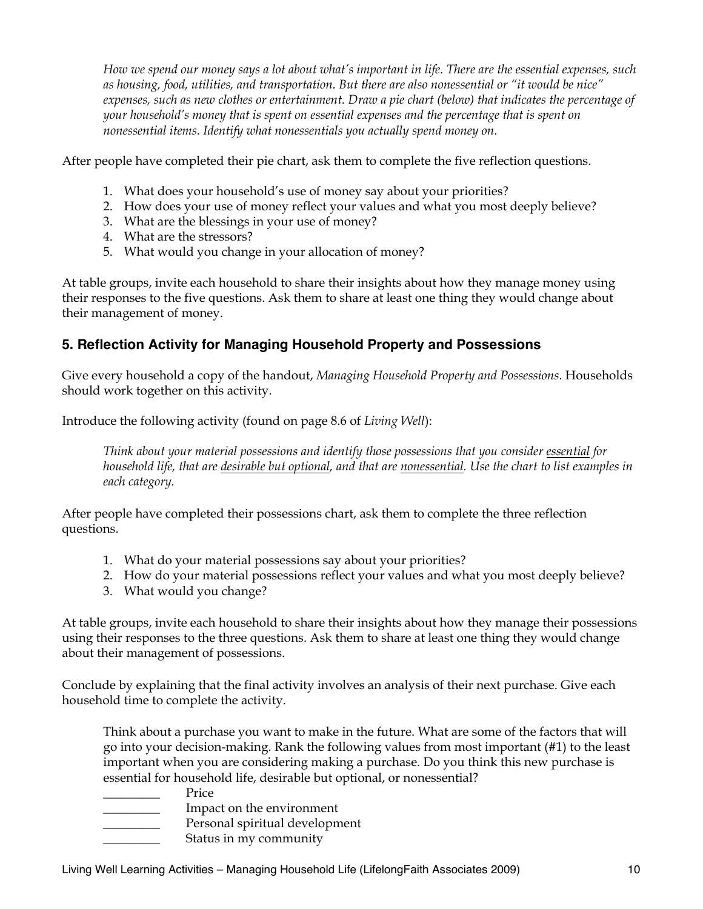*How we spend our money says a lot about what's important in life. There are the essential expenses, such as housing, food, utilities, and transportation. But there are also nonessential or "it would be nice" expenses, such as new clothes or entertainment. Draw a pie chart (below) that indicates the percentage of your household's money that is spent on essential expenses and the percentage that is spent on nonessential items. Identify what nonessentials you actually spend money on.* 

After people have completed their pie chart, ask them to complete the five reflection questions.

- 1. What does your household's use of money say about your priorities?
- 2. How does your use of money reflect your values and what you most deeply believe?
- 3. What are the blessings in your use of money?
- 4. What are the stressors?
- 5. What would you change in your allocation of money?

At table groups, invite each household to share their insights about how they manage money using their responses to the five questions. Ask them to share at least one thing they would change about their management of money.

## **5. Reflection Activity for Managing Household Property and Possessions**

Give every household a copy of the handout, *Managing Household Property and Possessions.* Households should work together on this activity.

Introduce the following activity (found on page 8.6 of *Living Well*):

*Think about your material possessions and identify those possessions that you consider essential for household life, that are desirable but optional, and that are nonessential. Use the chart to list examples in each category.* 

After people have completed their possessions chart, ask them to complete the three reflection questions.

- 1. What do your material possessions say about your priorities?
- 2. How do your material possessions reflect your values and what you most deeply believe?
- 3. What would you change?

At table groups, invite each household to share their insights about how they manage their possessions using their responses to the three questions. Ask them to share at least one thing they would change about their management of possessions.

Conclude by explaining that the final activity involves an analysis of their next purchase. Give each household time to complete the activity.

Think about a purchase you want to make in the future. What are some of the factors that will go into your decision-making. Rank the following values from most important (#1) to the least important when you are considering making a purchase. Do you think this new purchase is essential for household life, desirable but optional, or nonessential?

- Price
- \_\_\_\_\_\_\_\_\_ Impact on the environment
- Personal spiritual development
	- Status in my community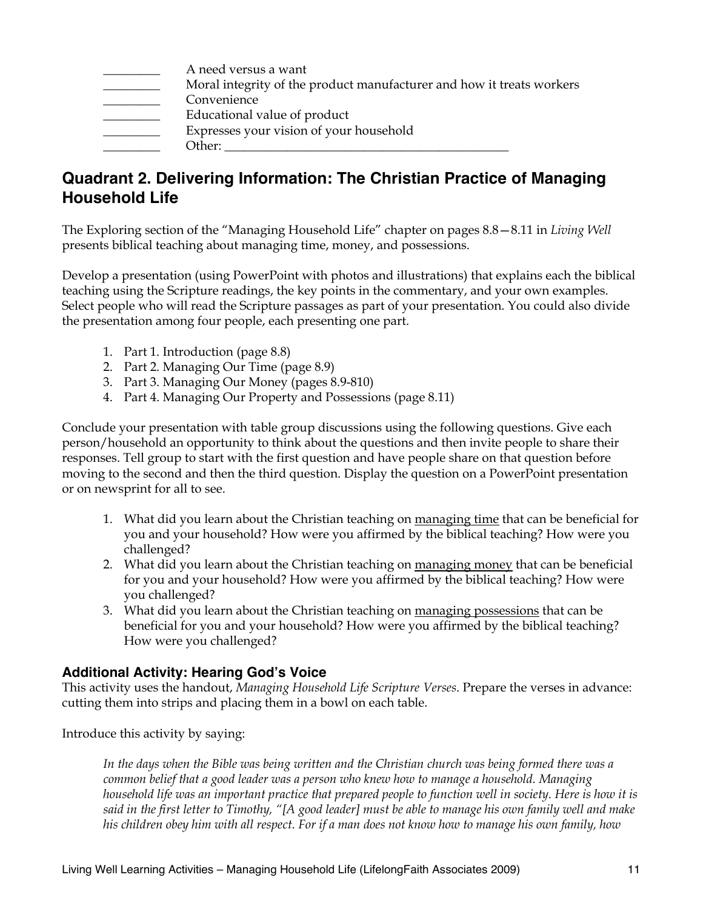| A need versus a want                                                  |
|-----------------------------------------------------------------------|
| Moral integrity of the product manufacturer and how it treats workers |
| Convenience                                                           |
| Educational value of product                                          |
| Expresses your vision of your household                               |
| Other:                                                                |

## **Quadrant 2. Delivering Information: The Christian Practice of Managing Household Life**

The Exploring section of the "Managing Household Life" chapter on pages 8.8—8.11 in *Living Well* presents biblical teaching about managing time, money, and possessions.

Develop a presentation (using PowerPoint with photos and illustrations) that explains each the biblical teaching using the Scripture readings, the key points in the commentary, and your own examples. Select people who will read the Scripture passages as part of your presentation. You could also divide the presentation among four people, each presenting one part.

- 1. Part 1. Introduction (page 8.8)
- 2. Part 2. Managing Our Time (page 8.9)
- 3. Part 3. Managing Our Money (pages 8.9-810)
- 4. Part 4. Managing Our Property and Possessions (page 8.11)

Conclude your presentation with table group discussions using the following questions. Give each person/household an opportunity to think about the questions and then invite people to share their responses. Tell group to start with the first question and have people share on that question before moving to the second and then the third question. Display the question on a PowerPoint presentation or on newsprint for all to see.

- 1. What did you learn about the Christian teaching on managing time that can be beneficial for you and your household? How were you affirmed by the biblical teaching? How were you challenged?
- 2. What did you learn about the Christian teaching on managing money that can be beneficial for you and your household? How were you affirmed by the biblical teaching? How were you challenged?
- 3. What did you learn about the Christian teaching on managing possessions that can be beneficial for you and your household? How were you affirmed by the biblical teaching? How were you challenged?

#### **Additional Activity: Hearing God's Voice**

This activity uses the handout, *Managing Household Life Scripture Verses*. Prepare the verses in advance: cutting them into strips and placing them in a bowl on each table.

Introduce this activity by saying:

*In the days when the Bible was being written and the Christian church was being formed there was a common belief that a good leader was a person who knew how to manage a household. Managing*  household life was an important practice that prepared people to function well in society. Here is how it is *said in the first letter to Timothy, "[A good leader] must be able to manage his own family well and make his children obey him with all respect. For if a man does not know how to manage his own family, how*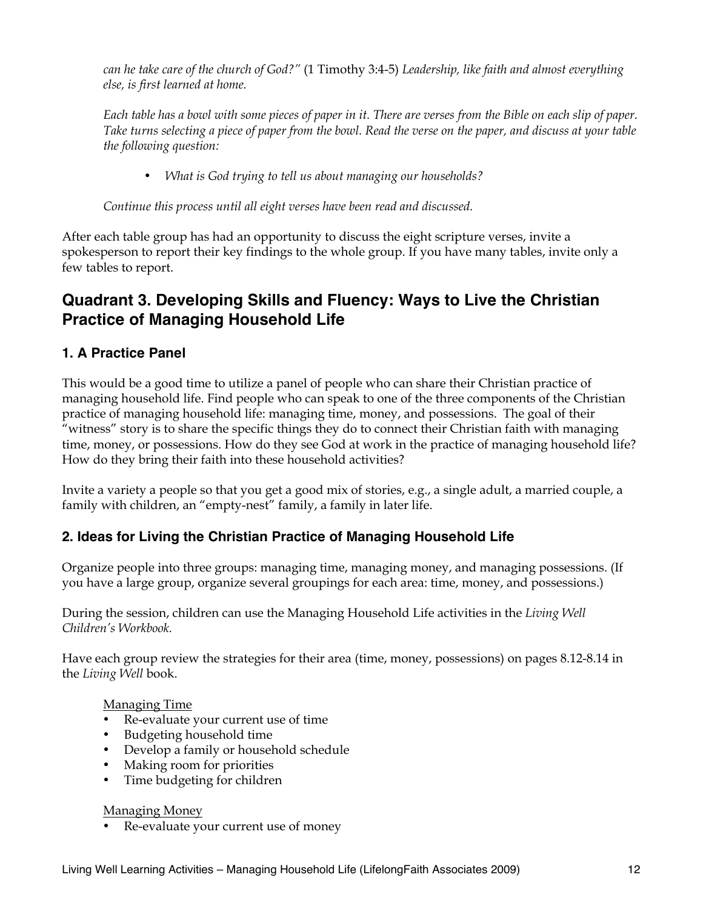*can he take care of the church of God?"* (1 Timothy 3:4-5) *Leadership, like faith and almost everything else, is first learned at home.*

*Each table has a bowl with some pieces of paper in it. There are verses from the Bible on each slip of paper. Take turns selecting a piece of paper from the bowl. Read the verse on the paper, and discuss at your table the following question:* 

• *What is God trying to tell us about managing our households?* 

*Continue this process until all eight verses have been read and discussed.*

After each table group has had an opportunity to discuss the eight scripture verses, invite a spokesperson to report their key findings to the whole group. If you have many tables, invite only a few tables to report.

## **Quadrant 3. Developing Skills and Fluency: Ways to Live the Christian Practice of Managing Household Life**

## **1. A Practice Panel**

This would be a good time to utilize a panel of people who can share their Christian practice of managing household life. Find people who can speak to one of the three components of the Christian practice of managing household life: managing time, money, and possessions. The goal of their "witness" story is to share the specific things they do to connect their Christian faith with managing time, money, or possessions. How do they see God at work in the practice of managing household life? How do they bring their faith into these household activities?

Invite a variety a people so that you get a good mix of stories, e.g., a single adult, a married couple, a family with children, an "empty-nest" family, a family in later life.

## **2. Ideas for Living the Christian Practice of Managing Household Life**

Organize people into three groups: managing time, managing money, and managing possessions. (If you have a large group, organize several groupings for each area: time, money, and possessions.)

During the session, children can use the Managing Household Life activities in the *Living Well Children's Workbook.* 

Have each group review the strategies for their area (time, money, possessions) on pages 8.12-8.14 in the *Living Well* book.

#### Managing Time

- Re-evaluate your current use of time
- Budgeting household time
- Develop a family or household schedule
- Making room for priorities
- Time budgeting for children

#### Managing Money

• Re-evaluate your current use of money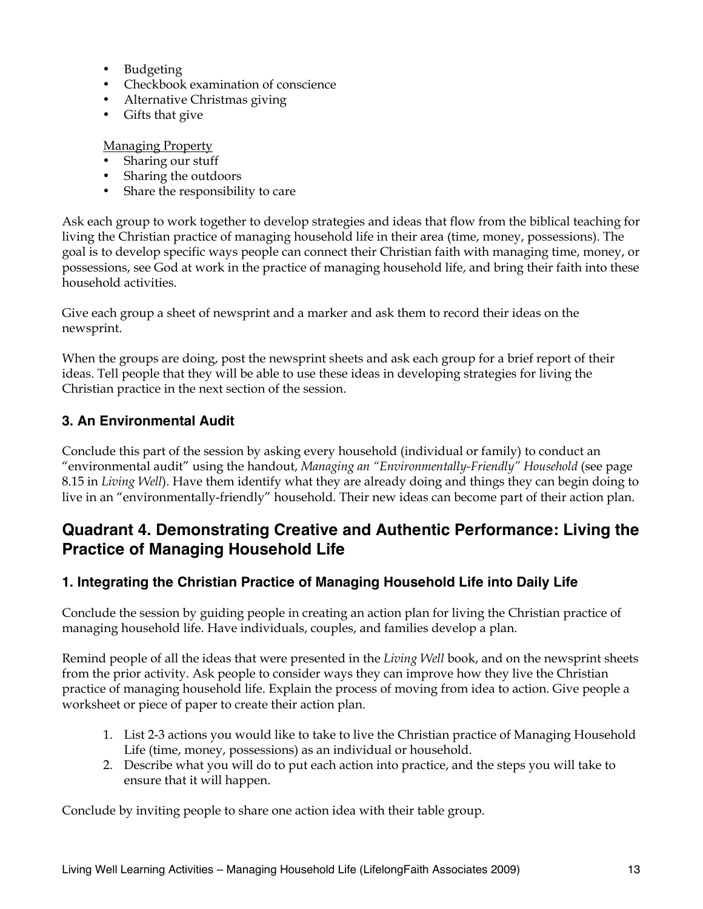- Budgeting
- Checkbook examination of conscience
- Alternative Christmas giving
- Gifts that give

Managing Property

- Sharing our stuff
- Sharing the outdoors
- Share the responsibility to care

Ask each group to work together to develop strategies and ideas that flow from the biblical teaching for living the Christian practice of managing household life in their area (time, money, possessions). The goal is to develop specific ways people can connect their Christian faith with managing time, money, or possessions, see God at work in the practice of managing household life, and bring their faith into these household activities.

Give each group a sheet of newsprint and a marker and ask them to record their ideas on the newsprint.

When the groups are doing, post the newsprint sheets and ask each group for a brief report of their ideas. Tell people that they will be able to use these ideas in developing strategies for living the Christian practice in the next section of the session.

#### **3. An Environmental Audit**

Conclude this part of the session by asking every household (individual or family) to conduct an "environmental audit" using the handout, *Managing an "Environmentally-Friendly" Household* (see page 8.15 in *Living Well*). Have them identify what they are already doing and things they can begin doing to live in an "environmentally-friendly" household. Their new ideas can become part of their action plan.

## **Quadrant 4. Demonstrating Creative and Authentic Performance: Living the Practice of Managing Household Life**

## **1. Integrating the Christian Practice of Managing Household Life into Daily Life**

Conclude the session by guiding people in creating an action plan for living the Christian practice of managing household life. Have individuals, couples, and families develop a plan.

Remind people of all the ideas that were presented in the *Living Well* book, and on the newsprint sheets from the prior activity. Ask people to consider ways they can improve how they live the Christian practice of managing household life. Explain the process of moving from idea to action. Give people a worksheet or piece of paper to create their action plan.

- 1. List 2-3 actions you would like to take to live the Christian practice of Managing Household Life (time, money, possessions) as an individual or household.
- 2. Describe what you will do to put each action into practice, and the steps you will take to ensure that it will happen.

Conclude by inviting people to share one action idea with their table group.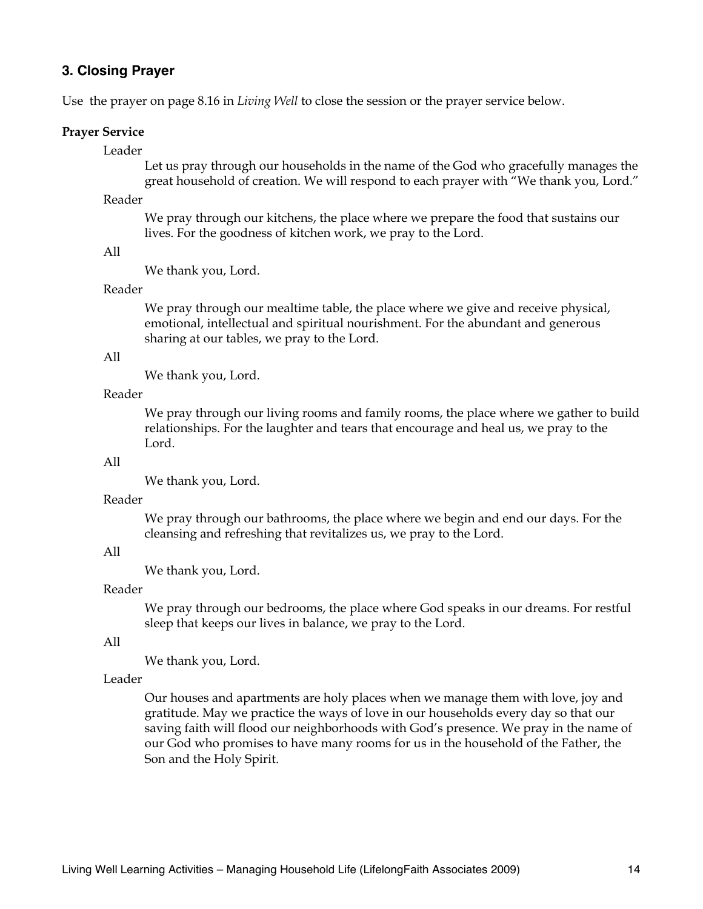#### **3. Closing Prayer**

Use the prayer on page 8.16 in *Living Well* to close the session or the prayer service below.

#### **Prayer Service**

#### Leader

Let us pray through our households in the name of the God who gracefully manages the great household of creation. We will respond to each prayer with "We thank you, Lord."

#### Reader

We pray through our kitchens, the place where we prepare the food that sustains our lives. For the goodness of kitchen work, we pray to the Lord.

#### All

We thank you, Lord.

#### Reader

We pray through our mealtime table, the place where we give and receive physical, emotional, intellectual and spiritual nourishment. For the abundant and generous sharing at our tables, we pray to the Lord.

#### All

We thank you, Lord.

#### Reader

We pray through our living rooms and family rooms, the place where we gather to build relationships. For the laughter and tears that encourage and heal us, we pray to the Lord.

#### All

We thank you, Lord.

#### Reader

We pray through our bathrooms, the place where we begin and end our days. For the cleansing and refreshing that revitalizes us, we pray to the Lord.

#### All

We thank you, Lord.

#### Reader

We pray through our bedrooms, the place where God speaks in our dreams. For restful sleep that keeps our lives in balance, we pray to the Lord.

#### All

We thank you, Lord.

#### Leader

Our houses and apartments are holy places when we manage them with love, joy and gratitude. May we practice the ways of love in our households every day so that our saving faith will flood our neighborhoods with God's presence. We pray in the name of our God who promises to have many rooms for us in the household of the Father, the Son and the Holy Spirit.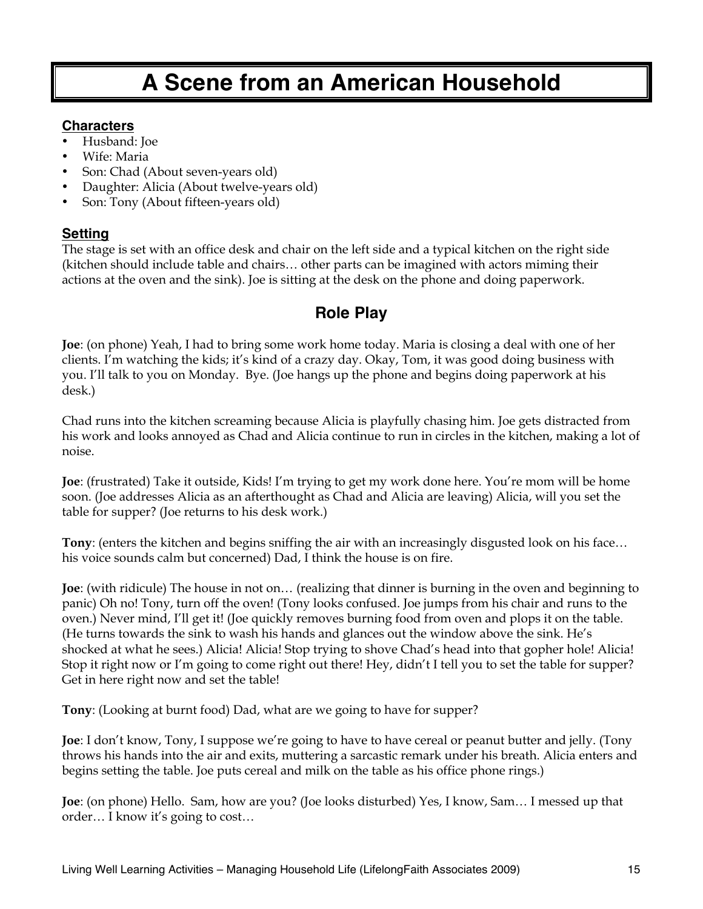# **A Scene from an American Household**

#### **Characters**

- Husband: Joe
- Wife: Maria
- Son: Chad (About seven-years old)
- Daughter: Alicia (About twelve-years old)
- Son: Tony (About fifteen-years old)

## **Setting**

The stage is set with an office desk and chair on the left side and a typical kitchen on the right side (kitchen should include table and chairs… other parts can be imagined with actors miming their actions at the oven and the sink). Joe is sitting at the desk on the phone and doing paperwork.

## **Role Play**

**Joe**: (on phone) Yeah, I had to bring some work home today. Maria is closing a deal with one of her clients. I'm watching the kids; it's kind of a crazy day. Okay, Tom, it was good doing business with you. I'll talk to you on Monday. Bye. (Joe hangs up the phone and begins doing paperwork at his desk.)

Chad runs into the kitchen screaming because Alicia is playfully chasing him. Joe gets distracted from his work and looks annoyed as Chad and Alicia continue to run in circles in the kitchen, making a lot of noise.

**Joe**: (frustrated) Take it outside, Kids! I'm trying to get my work done here. You're mom will be home soon. (Joe addresses Alicia as an afterthought as Chad and Alicia are leaving) Alicia, will you set the table for supper? (Joe returns to his desk work.)

**Tony**: (enters the kitchen and begins sniffing the air with an increasingly disgusted look on his face… his voice sounds calm but concerned) Dad, I think the house is on fire.

**Joe**: (with ridicule) The house in not on… (realizing that dinner is burning in the oven and beginning to panic) Oh no! Tony, turn off the oven! (Tony looks confused. Joe jumps from his chair and runs to the oven.) Never mind, I'll get it! (Joe quickly removes burning food from oven and plops it on the table. (He turns towards the sink to wash his hands and glances out the window above the sink. He's shocked at what he sees.) Alicia! Alicia! Stop trying to shove Chad's head into that gopher hole! Alicia! Stop it right now or I'm going to come right out there! Hey, didn't I tell you to set the table for supper? Get in here right now and set the table!

**Tony**: (Looking at burnt food) Dad, what are we going to have for supper?

**Joe**: I don't know, Tony, I suppose we're going to have to have cereal or peanut butter and jelly. (Tony throws his hands into the air and exits, muttering a sarcastic remark under his breath. Alicia enters and begins setting the table. Joe puts cereal and milk on the table as his office phone rings.)

**Joe**: (on phone) Hello. Sam, how are you? (Joe looks disturbed) Yes, I know, Sam… I messed up that order… I know it's going to cost…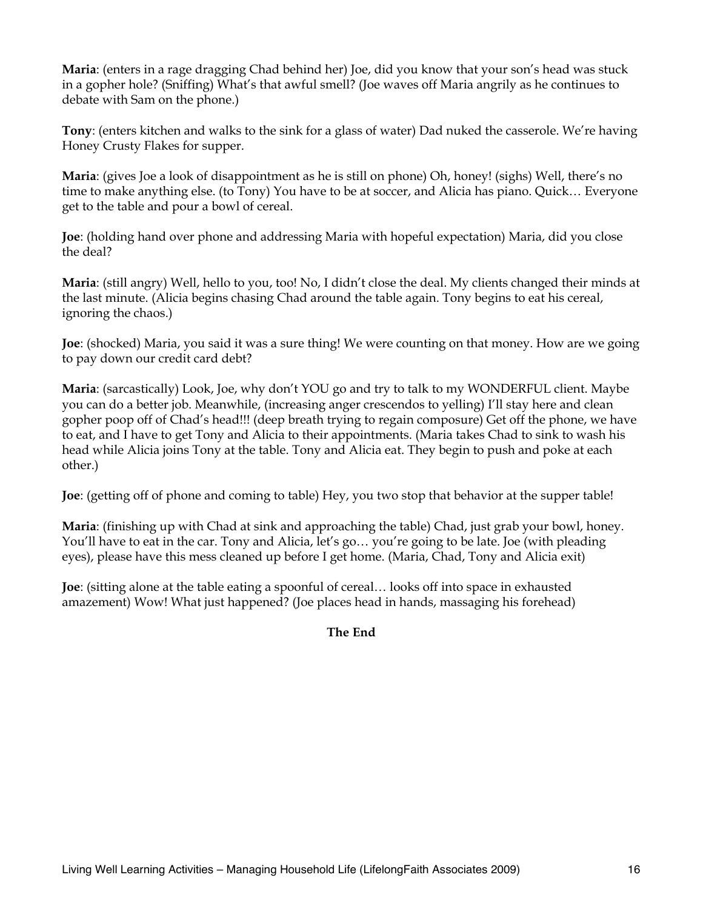**Maria**: (enters in a rage dragging Chad behind her) Joe, did you know that your son's head was stuck in a gopher hole? (Sniffing) What's that awful smell? (Joe waves off Maria angrily as he continues to debate with Sam on the phone.)

**Tony**: (enters kitchen and walks to the sink for a glass of water) Dad nuked the casserole. We're having Honey Crusty Flakes for supper.

**Maria**: (gives Joe a look of disappointment as he is still on phone) Oh, honey! (sighs) Well, there's no time to make anything else. (to Tony) You have to be at soccer, and Alicia has piano. Quick… Everyone get to the table and pour a bowl of cereal.

**Joe**: (holding hand over phone and addressing Maria with hopeful expectation) Maria, did you close the deal?

**Maria**: (still angry) Well, hello to you, too! No, I didn't close the deal. My clients changed their minds at the last minute. (Alicia begins chasing Chad around the table again. Tony begins to eat his cereal, ignoring the chaos.)

**Joe**: (shocked) Maria, you said it was a sure thing! We were counting on that money. How are we going to pay down our credit card debt?

**Maria**: (sarcastically) Look, Joe, why don't YOU go and try to talk to my WONDERFUL client. Maybe you can do a better job. Meanwhile, (increasing anger crescendos to yelling) I'll stay here and clean gopher poop off of Chad's head!!! (deep breath trying to regain composure) Get off the phone, we have to eat, and I have to get Tony and Alicia to their appointments. (Maria takes Chad to sink to wash his head while Alicia joins Tony at the table. Tony and Alicia eat. They begin to push and poke at each other.)

**Joe**: (getting off of phone and coming to table) Hey, you two stop that behavior at the supper table!

**Maria**: (finishing up with Chad at sink and approaching the table) Chad, just grab your bowl, honey. You'll have to eat in the car. Tony and Alicia, let's go… you're going to be late. Joe (with pleading eyes), please have this mess cleaned up before I get home. (Maria, Chad, Tony and Alicia exit)

**Joe**: (sitting alone at the table eating a spoonful of cereal… looks off into space in exhausted amazement) Wow! What just happened? (Joe places head in hands, massaging his forehead)

#### **The End**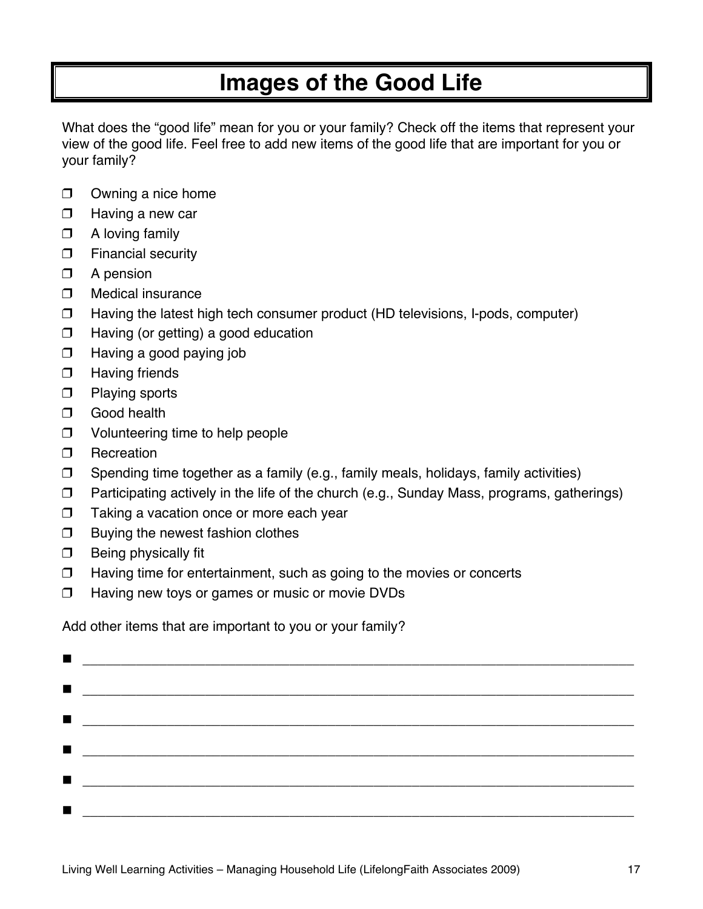## **Images of the Good Life**

What does the "good life" mean for you or your family? Check off the items that represent your view of the good life. Feel free to add new items of the good life that are important for you or your family?

- $\Box$  Owning a nice home
- $\Box$  Having a new car
- $\Box$  A loving family
- $\Box$  Financial security
- $\Box$  A pension
- $\Box$  Medical insurance
- $\Box$  Having the latest high tech consumer product (HD televisions, I-pods, computer)
- $\Box$  Having (or getting) a good education
- $\Box$  Having a good paying job
- **D** Having friends
- $\Box$  Playing sports
- **D** Good health
- □ Volunteering time to help people
- **D** Recreation
- $\Box$  Spending time together as a family (e.g., family meals, holidays, family activities)
- $\Box$  Participating actively in the life of the church (e.g., Sunday Mass, programs, gatherings)
- $\Box$  Taking a vacation once or more each year
- $\Box$  Buying the newest fashion clothes
- $\Box$  Being physically fit
- $\Box$  Having time for entertainment, such as going to the movies or concerts
- $\Box$  Having new toys or games or music or movie DVDs

Add other items that are important to you or your family?

|                | $\blacksquare$ . The contract of the contract of the contract of the contract of the contract of the contract of the contract of the contract of the contract of the contract of the contract of the contract of the contract of the |  |  |  |
|----------------|--------------------------------------------------------------------------------------------------------------------------------------------------------------------------------------------------------------------------------------|--|--|--|
| $\blacksquare$ |                                                                                                                                                                                                                                      |  |  |  |
|                |                                                                                                                                                                                                                                      |  |  |  |
|                | $\blacksquare$ . The contract of the contract of the contract of the contract of the contract of the contract of the contract of the contract of the contract of the contract of the contract of the contract of the contract of the |  |  |  |
| $\blacksquare$ |                                                                                                                                                                                                                                      |  |  |  |
|                |                                                                                                                                                                                                                                      |  |  |  |
|                |                                                                                                                                                                                                                                      |  |  |  |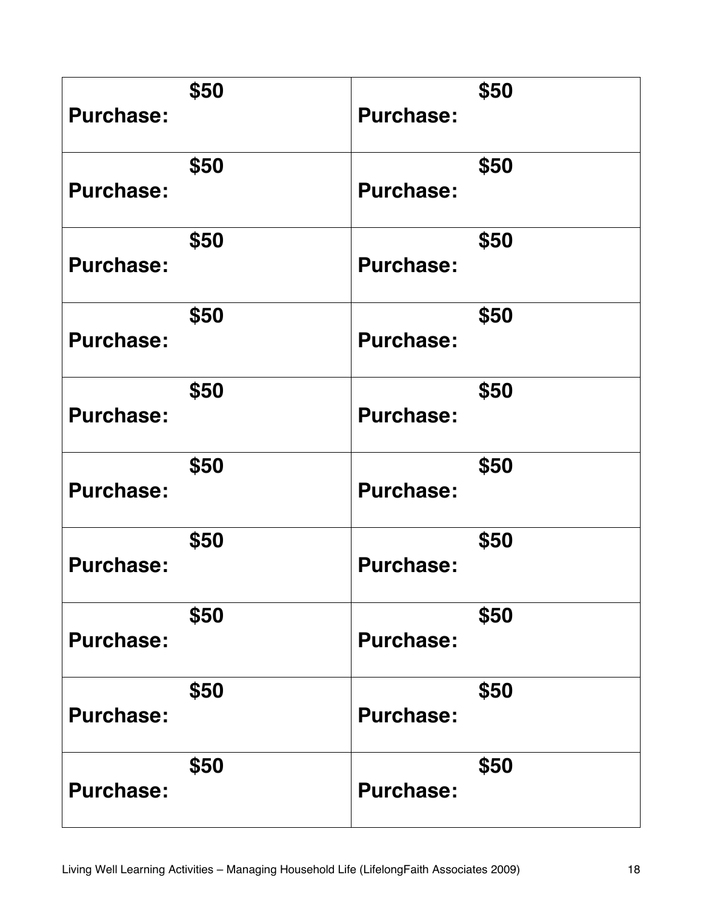| <b>Purchase:</b> | \$50 | <b>Purchase:</b> | \$50 |
|------------------|------|------------------|------|
| <b>Purchase:</b> | \$50 | <b>Purchase:</b> | \$50 |
| <b>Purchase:</b> | \$50 | <b>Purchase:</b> | \$50 |
| <b>Purchase:</b> | \$50 | <b>Purchase:</b> | \$50 |
| <b>Purchase:</b> | \$50 | <b>Purchase:</b> | \$50 |
| <b>Purchase:</b> | \$50 | <b>Purchase:</b> | \$50 |
| <b>Purchase:</b> | \$50 | <b>Purchase:</b> | \$50 |
| <b>Purchase:</b> | \$50 | <b>Purchase:</b> | \$50 |
| <b>Purchase:</b> | \$50 | <b>Purchase:</b> | \$50 |
| <b>Purchase:</b> | \$50 | <b>Purchase:</b> | \$50 |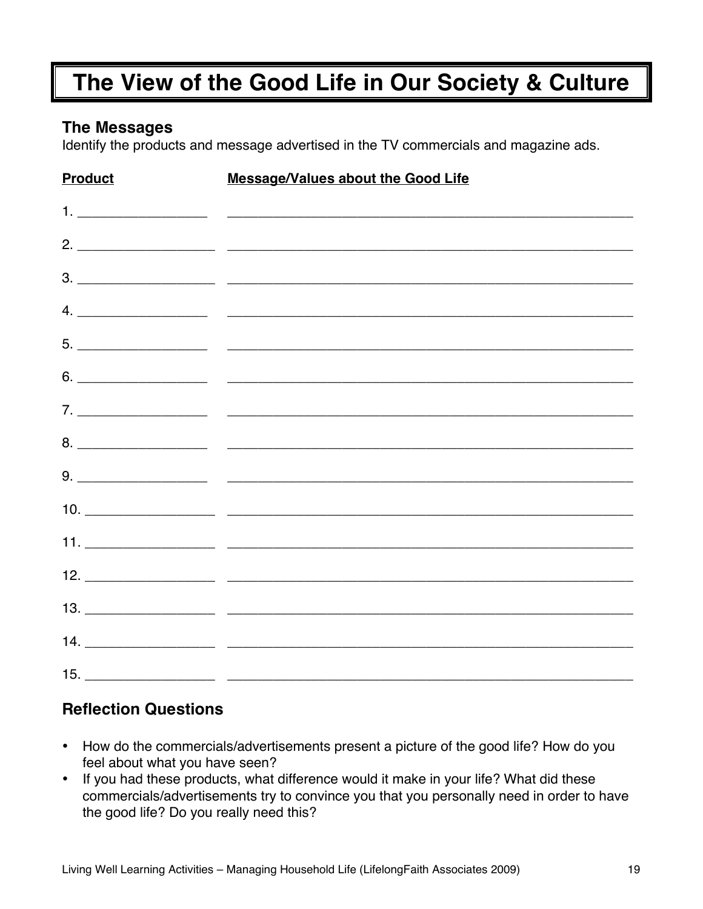# **The View of the Good Life in Our Society & Culture**

## **The Messages**

Identify the products and message advertised in the TV commercials and magazine ads.

| <b>Product</b> | <b>Message/Values about the Good Life</b> |
|----------------|-------------------------------------------|
|                |                                           |
|                |                                           |
|                |                                           |
|                |                                           |
|                |                                           |
|                |                                           |
|                |                                           |
|                |                                           |
|                |                                           |
|                |                                           |
|                |                                           |
|                |                                           |
|                |                                           |
|                |                                           |
|                |                                           |

## **Reflection Questions**

- How do the commercials/advertisements present a picture of the good life? How do you feel about what you have seen?
- If you had these products, what difference would it make in your life? What did these commercials/advertisements try to convince you that you personally need in order to have the good life? Do you really need this?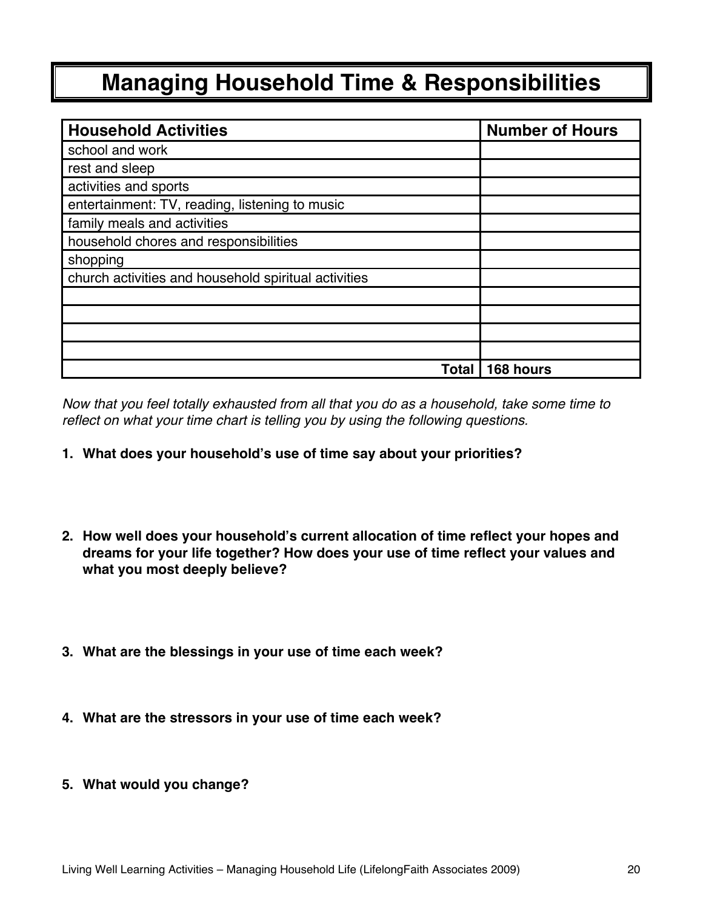# **Managing Household Time & Responsibilities**

| <b>Household Activities</b>                          | <b>Number of Hours</b> |
|------------------------------------------------------|------------------------|
| school and work                                      |                        |
| rest and sleep                                       |                        |
| activities and sports                                |                        |
| entertainment: TV, reading, listening to music       |                        |
| family meals and activities                          |                        |
| household chores and responsibilities                |                        |
| shopping                                             |                        |
| church activities and household spiritual activities |                        |
|                                                      |                        |
|                                                      |                        |
|                                                      |                        |
|                                                      |                        |
| Total                                                | 168 hours              |

*Now that you feel totally exhausted from all that you do as a household, take some time to reflect on what your time chart is telling you by using the following questions.* 

- **1. What does your household's use of time say about your priorities?**
- **2. How well does your household's current allocation of time reflect your hopes and dreams for your life together? How does your use of time reflect your values and what you most deeply believe?**
- **3. What are the blessings in your use of time each week?**
- **4. What are the stressors in your use of time each week?**
- **5. What would you change?**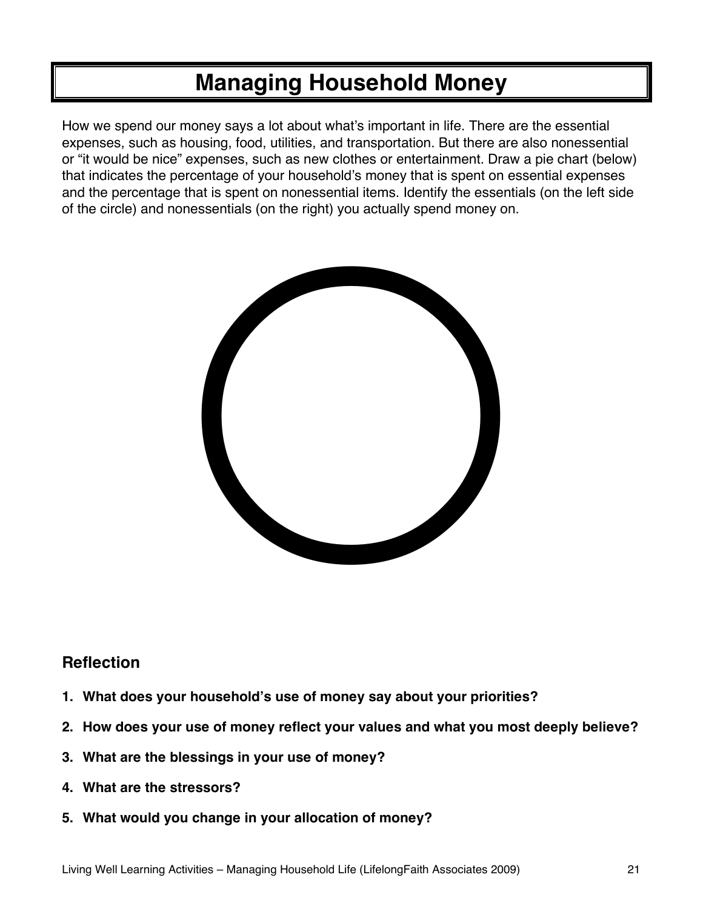## **Managing Household Money**

How we spend our money says a lot about what's important in life. There are the essential expenses, such as housing, food, utilities, and transportation. But there are also nonessential or "it would be nice" expenses, such as new clothes or entertainment. Draw a pie chart (below) that indicates the percentage of your household's money that is spent on essential expenses and the percentage that is spent on nonessential items. Identify the essentials (on the left side of the circle) and nonessentials (on the right) you actually spend money on.



## **Reflection**

- 1. What does your household's use of money say about your priorities?
- **2. How does your use of money reflect your values and what you most deeply believe?**
- **3. What are the blessings in your use of money?**
- **4. What are the stressors?**
- **5. What would you change in your allocation of money?**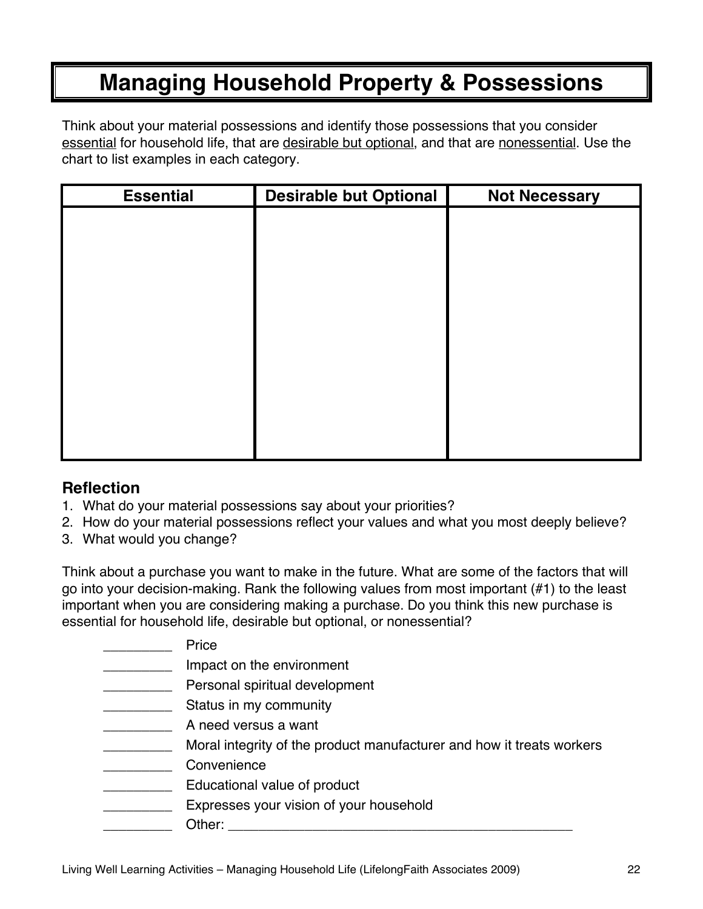## **Managing Household Property & Possessions**

Think about your material possessions and identify those possessions that you consider essential for household life, that are desirable but optional, and that are nonessential. Use the chart to list examples in each category.

| <b>Essential</b> | <b>Desirable but Optional</b> | <b>Not Necessary</b> |
|------------------|-------------------------------|----------------------|
|                  |                               |                      |
|                  |                               |                      |
|                  |                               |                      |
|                  |                               |                      |
|                  |                               |                      |
|                  |                               |                      |
|                  |                               |                      |
|                  |                               |                      |
|                  |                               |                      |
|                  |                               |                      |
|                  |                               |                      |

## **Reflection**

- 1. What do your material possessions say about your priorities?
- 2. How do your material possessions reflect your values and what you most deeply believe?
- 3. What would you change?

Think about a purchase you want to make in the future. What are some of the factors that will go into your decision-making. Rank the following values from most important (#1) to the least important when you are considering making a purchase. Do you think this new purchase is essential for household life, desirable but optional, or nonessential?

| Price                                                                 |
|-----------------------------------------------------------------------|
| Impact on the environment                                             |
| Personal spiritual development                                        |
| Status in my community                                                |
| A need versus a want                                                  |
| Moral integrity of the product manufacturer and how it treats workers |
| Convenience                                                           |
| Educational value of product                                          |
| Expresses your vision of your household                               |
| Other:                                                                |
|                                                                       |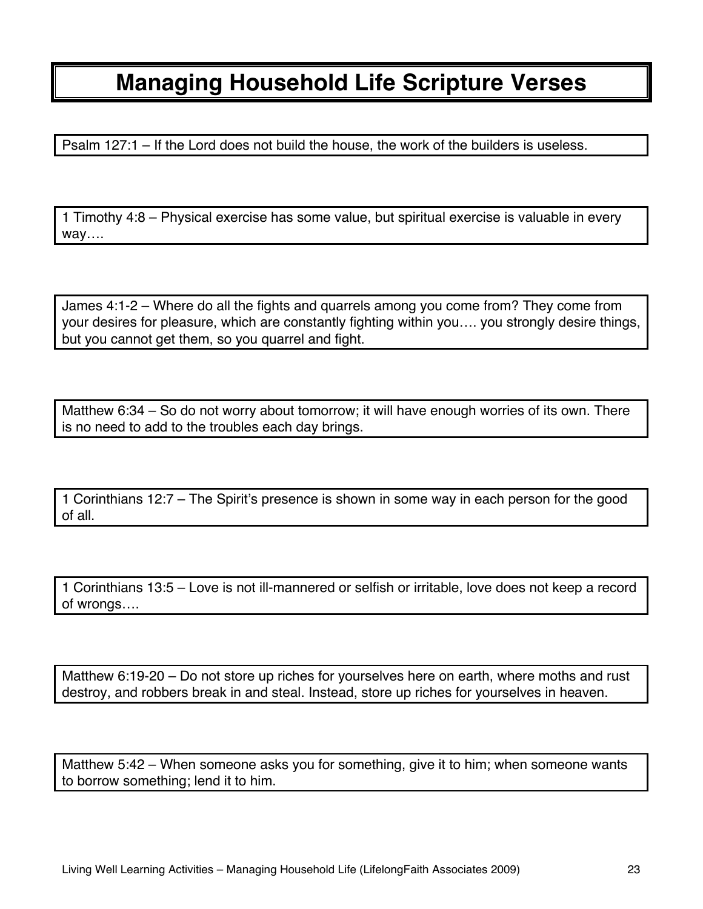## **Managing Household Life Scripture Verses**

Psalm 127:1 – If the Lord does not build the house, the work of the builders is useless.

1 Timothy 4:8 – Physical exercise has some value, but spiritual exercise is valuable in every way….

James 4:1-2 – Where do all the fights and quarrels among you come from? They come from your desires for pleasure, which are constantly fighting within you…. you strongly desire things, but you cannot get them, so you quarrel and fight.

Matthew 6:34 – So do not worry about tomorrow; it will have enough worries of its own. There is no need to add to the troubles each day brings.

1 Corinthians 12:7 – The Spirit's presence is shown in some way in each person for the good of all.

1 Corinthians 13:5 – Love is not ill-mannered or selfish or irritable, love does not keep a record of wrongs….

Matthew 6:19-20 – Do not store up riches for yourselves here on earth, where moths and rust destroy, and robbers break in and steal. Instead, store up riches for yourselves in heaven.

Matthew 5:42 – When someone asks you for something, give it to him; when someone wants to borrow something; lend it to him.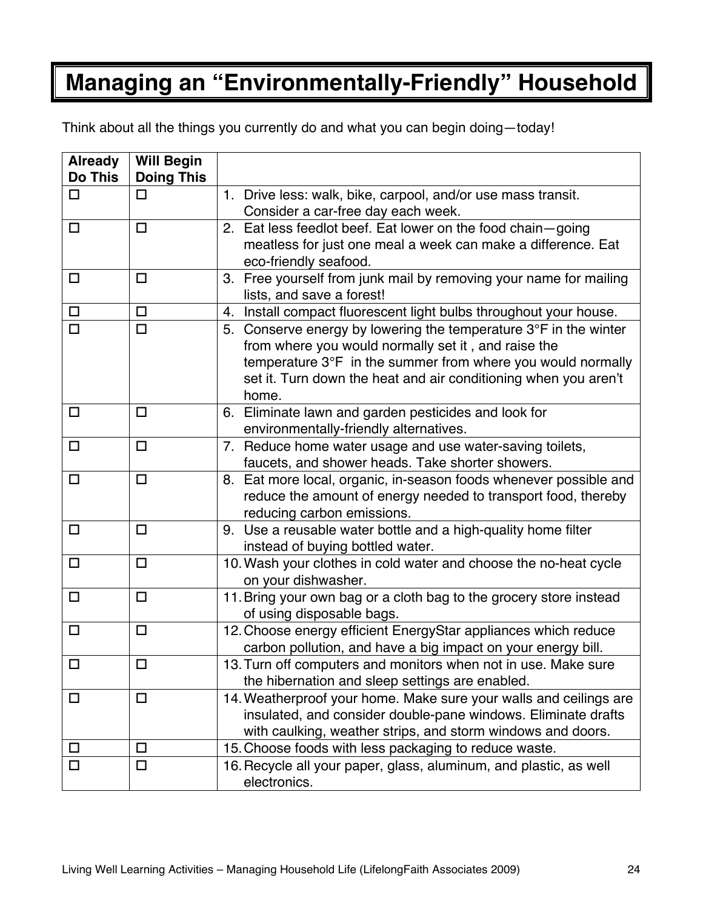# **Managing an "Environmentally-Friendly" Household**

Think about all the things you currently do and what you can begin doing—today!

| <b>Already</b><br><b>Do This</b> | <b>Will Begin</b><br><b>Doing This</b> |                                                                           |
|----------------------------------|----------------------------------------|---------------------------------------------------------------------------|
| $\Box$                           | $\Box$                                 | 1. Drive less: walk, bike, carpool, and/or use mass transit.              |
|                                  |                                        | Consider a car-free day each week.                                        |
| $\Box$                           | $\Box$                                 | 2. Eat less feedlot beef. Eat lower on the food chain-going               |
|                                  |                                        | meatless for just one meal a week can make a difference. Eat              |
|                                  |                                        | eco-friendly seafood.                                                     |
| $\Box$                           | □                                      | 3. Free yourself from junk mail by removing your name for mailing         |
|                                  |                                        | lists, and save a forest!                                                 |
| $\Box$                           | $\Box$                                 | 4. Install compact fluorescent light bulbs throughout your house.         |
| $\Box$                           | $\Box$                                 | 5. Conserve energy by lowering the temperature $3^{\circ}F$ in the winter |
|                                  |                                        | from where you would normally set it, and raise the                       |
|                                  |                                        | temperature 3°F in the summer from where you would normally               |
|                                  |                                        | set it. Turn down the heat and air conditioning when you aren't           |
|                                  |                                        | home.                                                                     |
| □                                | □                                      | 6. Eliminate lawn and garden pesticides and look for                      |
|                                  |                                        | environmentally-friendly alternatives.                                    |
| $\Box$                           | $\Box$                                 | 7. Reduce home water usage and use water-saving toilets,                  |
|                                  |                                        | faucets, and shower heads. Take shorter showers.                          |
| □                                | $\Box$                                 | 8. Eat more local, organic, in-season foods whenever possible and         |
|                                  |                                        | reduce the amount of energy needed to transport food, thereby             |
|                                  |                                        | reducing carbon emissions.                                                |
| $\Box$                           | $\Box$                                 | 9. Use a reusable water bottle and a high-quality home filter             |
|                                  |                                        | instead of buying bottled water.                                          |
| $\Box$                           | $\Box$                                 | 10. Wash your clothes in cold water and choose the no-heat cycle          |
|                                  |                                        | on your dishwasher.                                                       |
| $\Box$                           | $\Box$                                 | 11. Bring your own bag or a cloth bag to the grocery store instead        |
|                                  |                                        | of using disposable bags.                                                 |
| $\Box$                           | $\Box$                                 | 12. Choose energy efficient EnergyStar appliances which reduce            |
|                                  |                                        | carbon pollution, and have a big impact on your energy bill.              |
| $\Box$                           | $\Box$                                 | 13. Turn off computers and monitors when not in use. Make sure            |
|                                  |                                        | the hibernation and sleep settings are enabled.                           |
| $\Box$                           | $\Box$                                 | 14. Weatherproof your home. Make sure your walls and ceilings are         |
|                                  |                                        | insulated, and consider double-pane windows. Eliminate drafts             |
|                                  |                                        | with caulking, weather strips, and storm windows and doors.               |
| $\Box$                           | □                                      | 15. Choose foods with less packaging to reduce waste.                     |
| □                                | □                                      | 16. Recycle all your paper, glass, aluminum, and plastic, as well         |
|                                  |                                        | electronics.                                                              |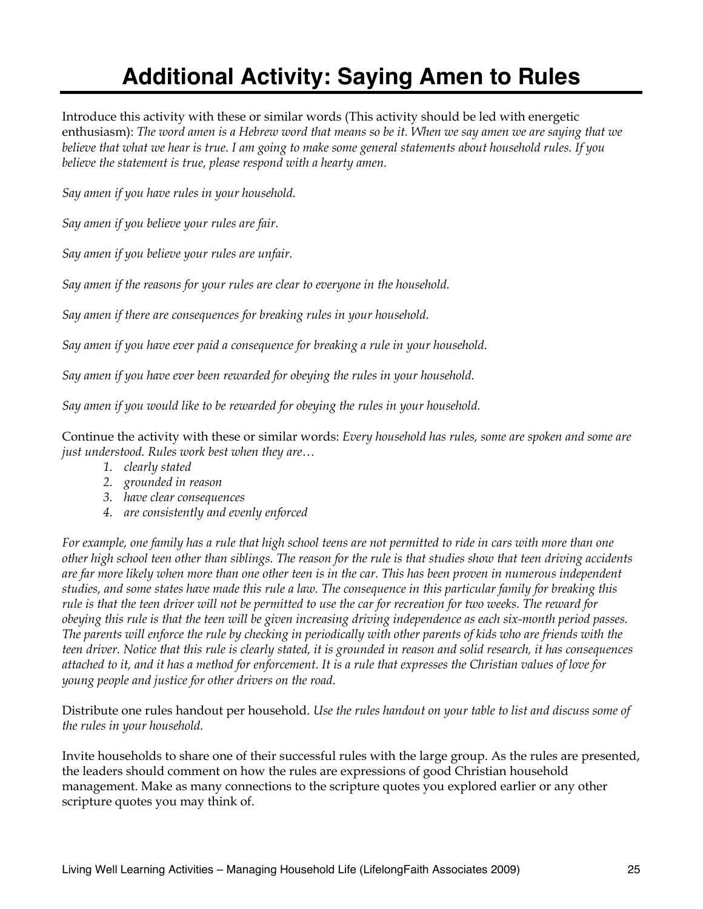# **Additional Activity: Saying Amen to Rules**

Introduce this activity with these or similar words (This activity should be led with energetic enthusiasm): *The word amen is a Hebrew word that means so be it. When we say amen we are saying that we believe that what we hear is true. I am going to make some general statements about household rules. If you believe the statement is true, please respond with a hearty amen.*

*Say amen if you have rules in your household.*

*Say amen if you believe your rules are fair.*

*Say amen if you believe your rules are unfair.*

*Say amen if the reasons for your rules are clear to everyone in the household.*

*Say amen if there are consequences for breaking rules in your household.*

*Say amen if you have ever paid a consequence for breaking a rule in your household.*

*Say amen if you have ever been rewarded for obeying the rules in your household.*

*Say amen if you would like to be rewarded for obeying the rules in your household.*

Continue the activity with these or similar words: *Every household has rules, some are spoken and some are just understood. Rules work best when they are…*

- *1. clearly stated*
- *2. grounded in reason*
- *3. have clear consequences*
- *4. are consistently and evenly enforced*

*For example, one family has a rule that high school teens are not permitted to ride in cars with more than one other high school teen other than siblings. The reason for the rule is that studies show that teen driving accidents are far more likely when more than one other teen is in the car. This has been proven in numerous independent studies, and some states have made this rule a law. The consequence in this particular family for breaking this rule is that the teen driver will not be permitted to use the car for recreation for two weeks. The reward for obeying this rule is that the teen will be given increasing driving independence as each six-month period passes. The parents will enforce the rule by checking in periodically with other parents of kids who are friends with the teen driver. Notice that this rule is clearly stated, it is grounded in reason and solid research, it has consequences attached to it, and it has a method for enforcement. It is a rule that expresses the Christian values of love for young people and justice for other drivers on the road.*

Distribute one rules handout per household. *Use the rules handout on your table to list and discuss some of the rules in your household.*

Invite households to share one of their successful rules with the large group. As the rules are presented, the leaders should comment on how the rules are expressions of good Christian household management. Make as many connections to the scripture quotes you explored earlier or any other scripture quotes you may think of.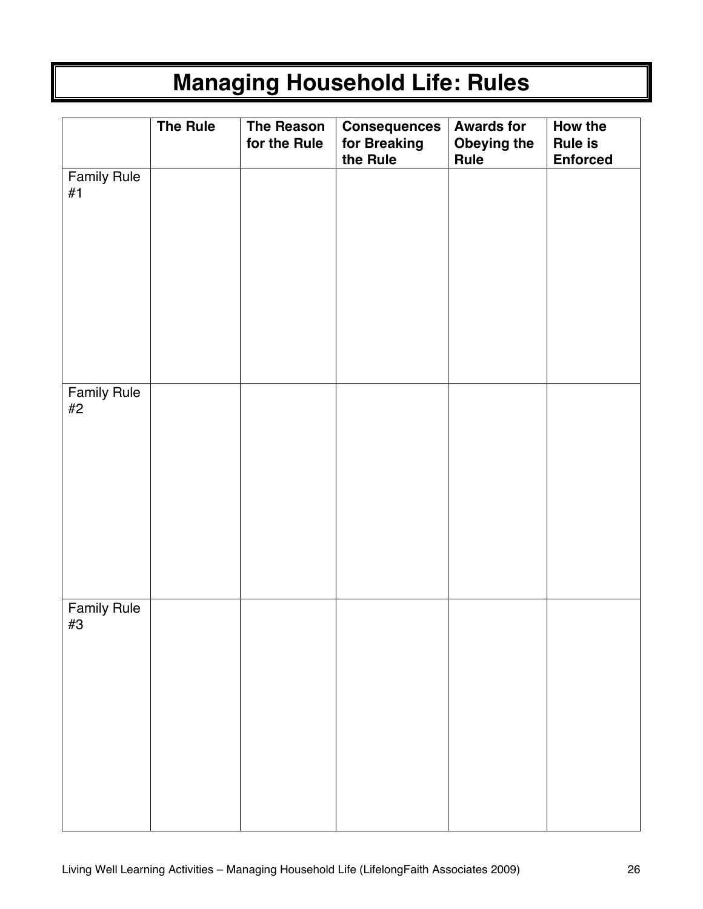# **Managing Household Life: Rules**

|                          | <b>The Rule</b> | The Reason<br>for the Rule | <b>Consequences</b><br>for Breaking<br>the Rule | <b>Awards for</b><br>Obeying the<br>Rule | How the<br><b>Rule is</b><br><b>Enforced</b> |
|--------------------------|-----------------|----------------------------|-------------------------------------------------|------------------------------------------|----------------------------------------------|
| <b>Family Rule</b><br>#1 |                 |                            |                                                 |                                          |                                              |
| <b>Family Rule</b><br>#2 |                 |                            |                                                 |                                          |                                              |
| <b>Family Rule</b><br>#3 |                 |                            |                                                 |                                          |                                              |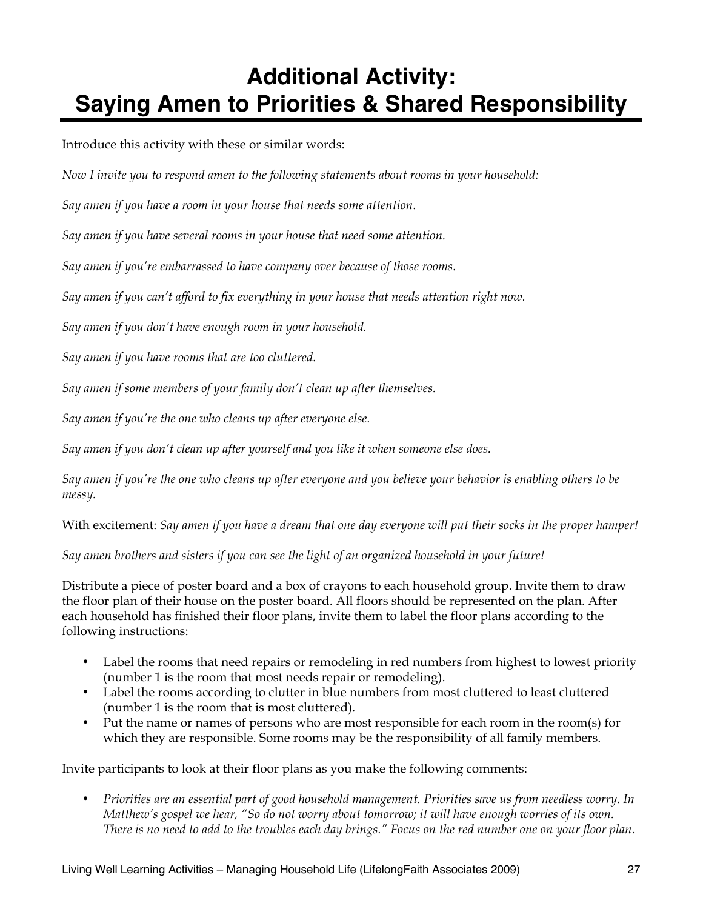# **Additional Activity: Saying Amen to Priorities & Shared Responsibility**

Introduce this activity with these or similar words:

*Now I invite you to respond amen to the following statements about rooms in your household:*

*Say amen if you have a room in your house that needs some attention.*

*Say amen if you have several rooms in your house that need some attention.*

*Say amen if you're embarrassed to have company over because of those rooms.*

*Say amen if you can't afford to fix everything in your house that needs attention right now.*

*Say amen if you don't have enough room in your household.*

*Say amen if you have rooms that are too cluttered.*

*Say amen if some members of your family don't clean up after themselves.*

*Say amen if you're the one who cleans up after everyone else.*

*Say amen if you don't clean up after yourself and you like it when someone else does.*

*Say amen if you're the one who cleans up after everyone and you believe your behavior is enabling others to be messy.*

With excitement: *Say amen if you have a dream that one day everyone will put their socks in the proper hamper!*

*Say amen brothers and sisters if you can see the light of an organized household in your future!*

Distribute a piece of poster board and a box of crayons to each household group. Invite them to draw the floor plan of their house on the poster board. All floors should be represented on the plan. After each household has finished their floor plans, invite them to label the floor plans according to the following instructions:

- Label the rooms that need repairs or remodeling in red numbers from highest to lowest priority (number 1 is the room that most needs repair or remodeling).
- Label the rooms according to clutter in blue numbers from most cluttered to least cluttered (number 1 is the room that is most cluttered).
- Put the name or names of persons who are most responsible for each room in the room(s) for which they are responsible. Some rooms may be the responsibility of all family members.

Invite participants to look at their floor plans as you make the following comments:

• *Priorities are an essential part of good household management. Priorities save us from needless worry. In Matthew's gospel we hear, "So do not worry about tomorrow; it will have enough worries of its own. There is no need to add to the troubles each day brings." Focus on the red number one on your floor plan.*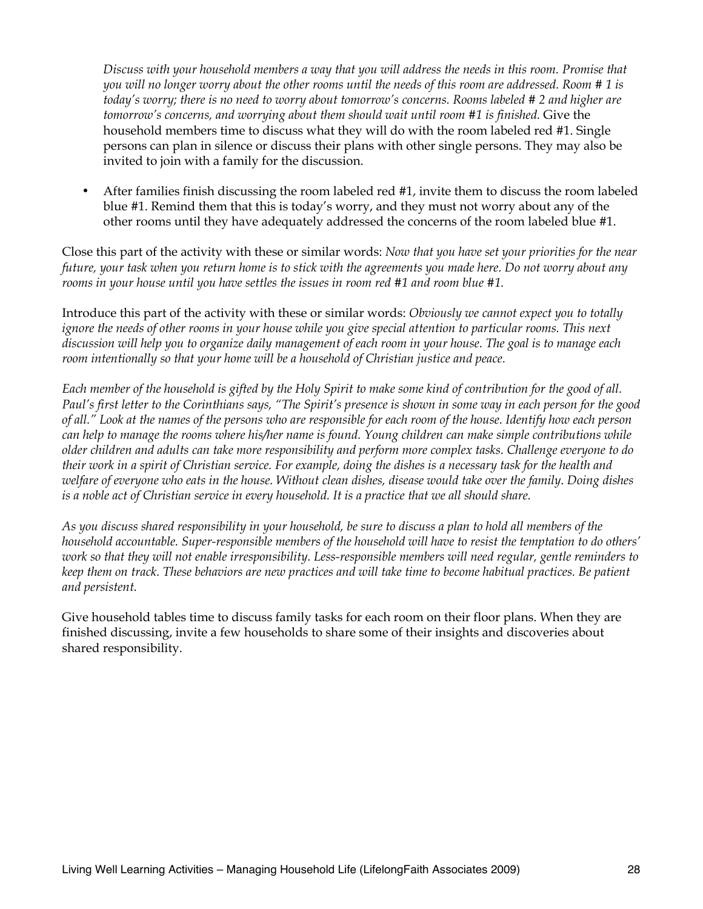*Discuss with your household members a way that you will address the needs in this room. Promise that you will no longer worry about the other rooms until the needs of this room are addressed. Room # 1 is today's worry; there is no need to worry about tomorrow's concerns. Rooms labeled # 2 and higher are tomorrow's concerns, and worrying about them should wait until room #1 is finished.* Give the household members time to discuss what they will do with the room labeled red #1. Single persons can plan in silence or discuss their plans with other single persons. They may also be invited to join with a family for the discussion.

• After families finish discussing the room labeled red #1, invite them to discuss the room labeled blue #1. Remind them that this is today's worry, and they must not worry about any of the other rooms until they have adequately addressed the concerns of the room labeled blue #1.

Close this part of the activity with these or similar words: *Now that you have set your priorities for the near future, your task when you return home is to stick with the agreements you made here. Do not worry about any rooms in your house until you have settles the issues in room red #1 and room blue #1.*

Introduce this part of the activity with these or similar words: *Obviously we cannot expect you to totally*  ignore the needs of other rooms in your house while you give special attention to particular rooms. This next *discussion will help you to organize daily management of each room in your house. The goal is to manage each room intentionally so that your home will be a household of Christian justice and peace.*

*Each member of the household is gifted by the Holy Spirit to make some kind of contribution for the good of all. Paul's first letter to the Corinthians says, "The Spirit's presence is shown in some way in each person for the good of all." Look at the names of the persons who are responsible for each room of the house. Identify how each person can help to manage the rooms where his/her name is found. Young children can make simple contributions while older children and adults can take more responsibility and perform more complex tasks. Challenge everyone to do their work in a spirit of Christian service. For example, doing the dishes is a necessary task for the health and welfare of everyone who eats in the house. Without clean dishes, disease would take over the family. Doing dishes is a noble act of Christian service in every household. It is a practice that we all should share.*

*As you discuss shared responsibility in your household, be sure to discuss a plan to hold all members of the household accountable. Super-responsible members of the household will have to resist the temptation to do others' work so that they will not enable irresponsibility. Less-responsible members will need regular, gentle reminders to keep them on track. These behaviors are new practices and will take time to become habitual practices. Be patient and persistent.*

Give household tables time to discuss family tasks for each room on their floor plans. When they are finished discussing, invite a few households to share some of their insights and discoveries about shared responsibility.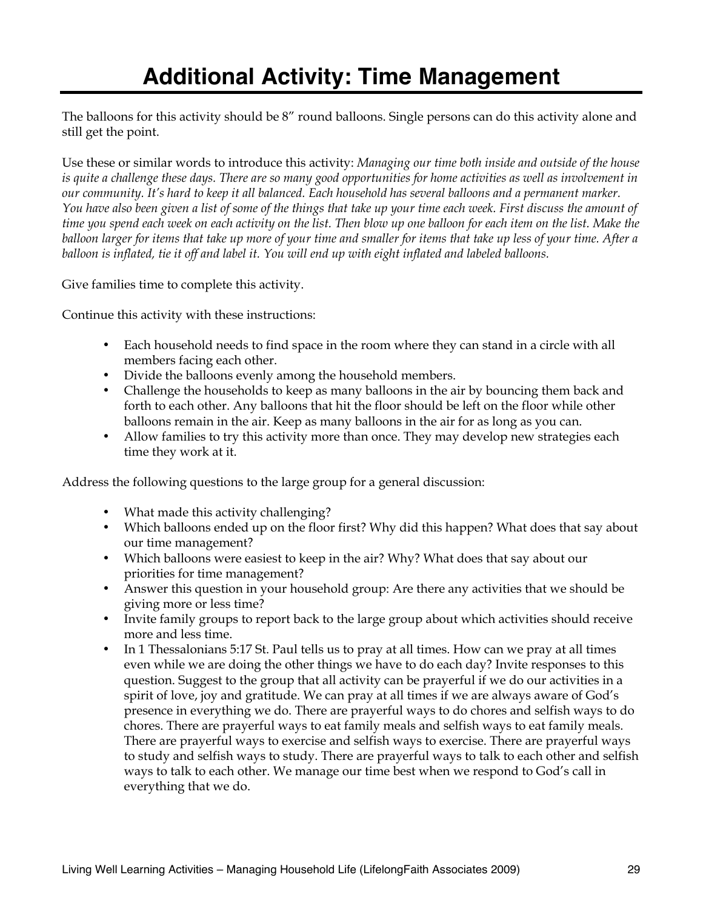The balloons for this activity should be 8" round balloons. Single persons can do this activity alone and still get the point.

Use these or similar words to introduce this activity: *Managing our time both inside and outside of the house is quite a challenge these days. There are so many good opportunities for home activities as well as involvement in our community. It's hard to keep it all balanced. Each household has several balloons and a permanent marker. You have also been given a list of some of the things that take up your time each week. First discuss the amount of time you spend each week on each activity on the list. Then blow up one balloon for each item on the list. Make the balloon larger for items that take up more of your time and smaller for items that take up less of your time. After a balloon is inflated, tie it off and label it. You will end up with eight inflated and labeled balloons.*

Give families time to complete this activity.

Continue this activity with these instructions:

- Each household needs to find space in the room where they can stand in a circle with all members facing each other.
- Divide the balloons evenly among the household members.
- Challenge the households to keep as many balloons in the air by bouncing them back and forth to each other. Any balloons that hit the floor should be left on the floor while other balloons remain in the air. Keep as many balloons in the air for as long as you can.
- Allow families to try this activity more than once. They may develop new strategies each time they work at it.

Address the following questions to the large group for a general discussion:

- What made this activity challenging?
- Which balloons ended up on the floor first? Why did this happen? What does that say about our time management?
- Which balloons were easiest to keep in the air? Why? What does that say about our priorities for time management?
- Answer this question in your household group: Are there any activities that we should be giving more or less time?
- Invite family groups to report back to the large group about which activities should receive more and less time.
- In 1 Thessalonians 5:17 St. Paul tells us to pray at all times. How can we pray at all times even while we are doing the other things we have to do each day? Invite responses to this question. Suggest to the group that all activity can be prayerful if we do our activities in a spirit of love, joy and gratitude. We can pray at all times if we are always aware of God's presence in everything we do. There are prayerful ways to do chores and selfish ways to do chores. There are prayerful ways to eat family meals and selfish ways to eat family meals. There are prayerful ways to exercise and selfish ways to exercise. There are prayerful ways to study and selfish ways to study. There are prayerful ways to talk to each other and selfish ways to talk to each other. We manage our time best when we respond to God's call in everything that we do.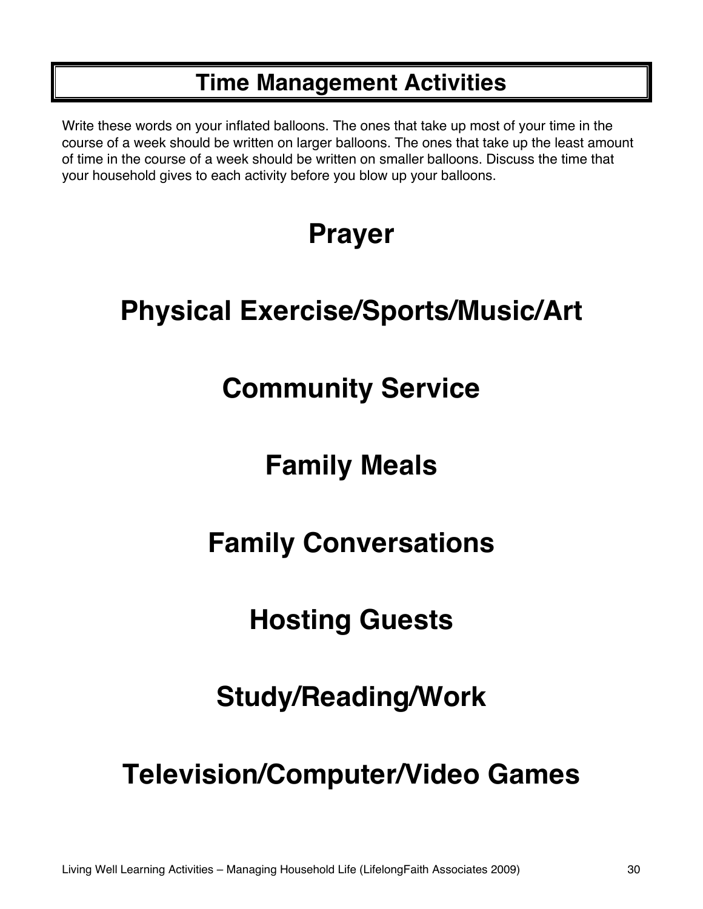## **Time Management Activities**

Write these words on your inflated balloons. The ones that take up most of your time in the course of a week should be written on larger balloons. The ones that take up the least amount of time in the course of a week should be written on smaller balloons. Discuss the time that your household gives to each activity before you blow up your balloons.

# **Prayer**

# **Physical Exercise/Sports/Music/Art**

# **Community Service**

# **Family Meals**

# **Family Conversations**

# **Hosting Guests**

# **Study/Reading/Work**

# **Television/Computer/Video Games**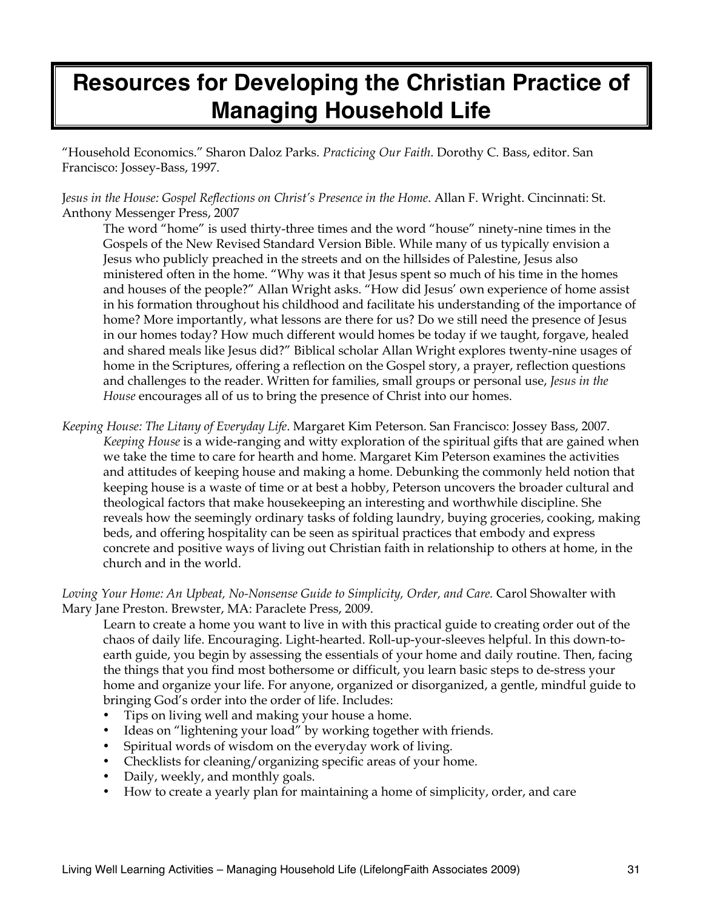## **Resources for Developing the Christian Practice of Managing Household Life**

"Household Economics." Sharon Daloz Parks. *Practicing Our Faith*. Dorothy C. Bass, editor. San Francisco: Jossey-Bass, 1997.

J*esus in the House: Gospel Reflections on Christ's Presence in the Home*. Allan F. Wright. Cincinnati: St. Anthony Messenger Press, 2007

The word "home" is used thirty-three times and the word "house" ninety-nine times in the Gospels of the New Revised Standard Version Bible. While many of us typically envision a Jesus who publicly preached in the streets and on the hillsides of Palestine, Jesus also ministered often in the home. "Why was it that Jesus spent so much of his time in the homes and houses of the people?" Allan Wright asks. "How did Jesus' own experience of home assist in his formation throughout his childhood and facilitate his understanding of the importance of home? More importantly, what lessons are there for us? Do we still need the presence of Jesus in our homes today? How much different would homes be today if we taught, forgave, healed and shared meals like Jesus did?" Biblical scholar Allan Wright explores twenty-nine usages of home in the Scriptures, offering a reflection on the Gospel story, a prayer, reflection questions and challenges to the reader. Written for families, small groups or personal use, *Jesus in the House* encourages all of us to bring the presence of Christ into our homes.

*Keeping House: The Litany of Everyday Life*. Margaret Kim Peterson. San Francisco: Jossey Bass, 2007. *Keeping House* is a wide-ranging and witty exploration of the spiritual gifts that are gained when we take the time to care for hearth and home. Margaret Kim Peterson examines the activities and attitudes of keeping house and making a home. Debunking the commonly held notion that keeping house is a waste of time or at best a hobby, Peterson uncovers the broader cultural and theological factors that make housekeeping an interesting and worthwhile discipline. She reveals how the seemingly ordinary tasks of folding laundry, buying groceries, cooking, making beds, and offering hospitality can be seen as spiritual practices that embody and express concrete and positive ways of living out Christian faith in relationship to others at home, in the church and in the world.

*Loving Your Home: An Upbeat, No-Nonsense Guide to Simplicity, Order, and Care.* Carol Showalter with Mary Jane Preston. Brewster, MA: Paraclete Press, 2009.

Learn to create a home you want to live in with this practical guide to creating order out of the chaos of daily life. Encouraging. Light-hearted. Roll-up-your-sleeves helpful. In this down-toearth guide, you begin by assessing the essentials of your home and daily routine. Then, facing the things that you find most bothersome or difficult, you learn basic steps to de-stress your home and organize your life. For anyone, organized or disorganized, a gentle, mindful guide to bringing God's order into the order of life. Includes:

- Tips on living well and making your house a home.
- Ideas on "lightening your load" by working together with friends.
- Spiritual words of wisdom on the everyday work of living.
- Checklists for cleaning/organizing specific areas of your home.
- Daily, weekly, and monthly goals.
- How to create a yearly plan for maintaining a home of simplicity, order, and care